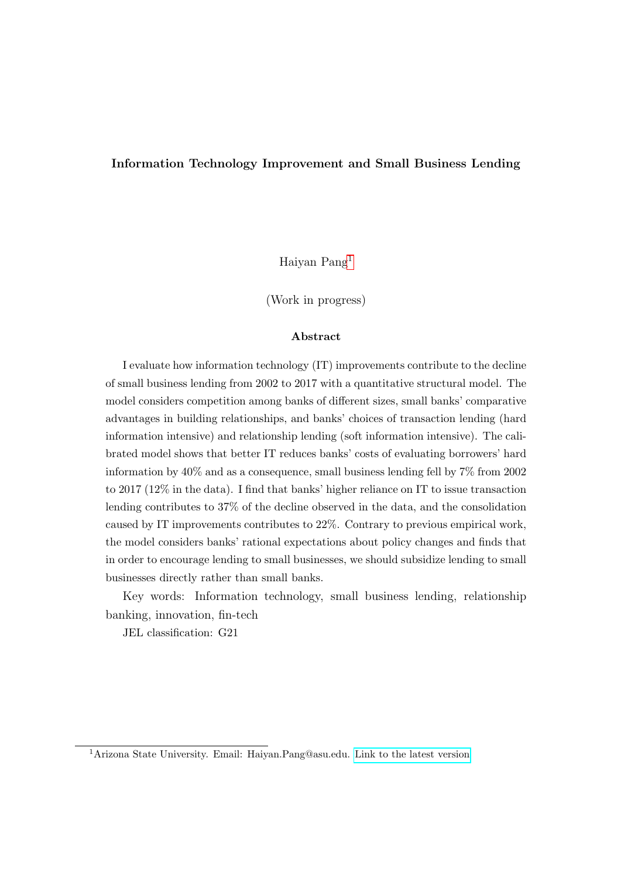#### Information Technology Improvement and Small Business Lending

Haiyan Pang[1](#page-0-0)

(Work in progress)

#### Abstract

I evaluate how information technology (IT) improvements contribute to the decline of small business lending from 2002 to 2017 with a quantitative structural model. The model considers competition among banks of different sizes, small banks' comparative advantages in building relationships, and banks' choices of transaction lending (hard information intensive) and relationship lending (soft information intensive). The calibrated model shows that better IT reduces banks' costs of evaluating borrowers' hard information by 40% and as a consequence, small business lending fell by 7% from 2002 to 2017 (12% in the data). I find that banks' higher reliance on IT to issue transaction lending contributes to 37% of the decline observed in the data, and the consolidation caused by IT improvements contributes to 22%. Contrary to previous empirical work, the model considers banks' rational expectations about policy changes and finds that in order to encourage lending to small businesses, we should subsidize lending to small businesses directly rather than small banks.

Key words: Information technology, small business lending, relationship banking, innovation, fin-tech

JEL classification: G21

<span id="page-0-0"></span><sup>1</sup>Arizona State University. Email: Haiyan.Pang@asu.edu. [Link to the latest version](https://docs.google.com/viewer?a=v&pid=sites&srcid=ZGVmYXVsdGRvbWFpbnxsaW5kYWhhaXlhbnBhbmd8Z3g6N2E5NTZmZTcwOWU4N2E5ZQ)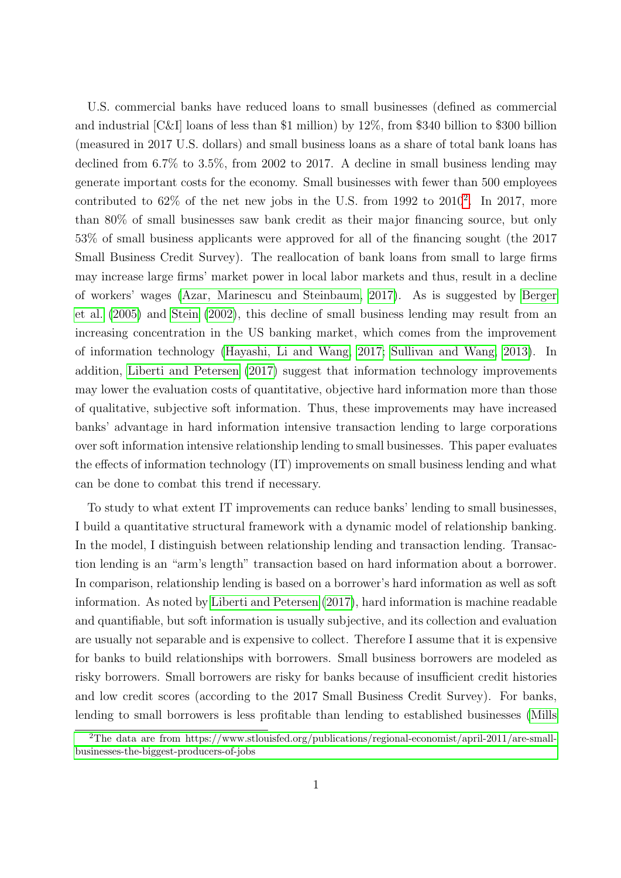U.S. commercial banks have reduced loans to small businesses (defined as commercial and industrial [C&I] loans of less than \$1 million) by 12%, from \$340 billion to \$300 billion (measured in 2017 U.S. dollars) and small business loans as a share of total bank loans has declined from 6.7% to 3.5%, from 2002 to 2017. A decline in small business lending may generate important costs for the economy. Small businesses with fewer than 500 employees contributed to  $62\%$  $62\%$  $62\%$  of the net new jobs in the U.S. from 1992 to  $2010^2$ . In 2017, more than 80% of small businesses saw bank credit as their major financing source, but only 53% of small business applicants were approved for all of the financing sought (the 2017 Small Business Credit Survey). The reallocation of bank loans from small to large firms may increase large firms' market power in local labor markets and thus, result in a decline of workers' wages [\(Azar, Marinescu and Steinbaum, 2017\)](#page-25-0). As is suggested by [Berger](#page-25-1) [et al.](#page-25-1) [\(2005\)](#page-25-1) and [Stein](#page-29-0) [\(2002\)](#page-29-0), this decline of small business lending may result from an increasing concentration in the US banking market, which comes from the improvement of information technology [\(Hayashi, Li and Wang, 2017;](#page-28-0) [Sullivan and Wang, 2013\)](#page-29-1). In addition, [Liberti and Petersen](#page-28-1) [\(2017\)](#page-28-1) suggest that information technology improvements may lower the evaluation costs of quantitative, objective hard information more than those of qualitative, subjective soft information. Thus, these improvements may have increased banks' advantage in hard information intensive transaction lending to large corporations over soft information intensive relationship lending to small businesses. This paper evaluates the effects of information technology (IT) improvements on small business lending and what can be done to combat this trend if necessary.

To study to what extent IT improvements can reduce banks' lending to small businesses, I build a quantitative structural framework with a dynamic model of relationship banking. In the model, I distinguish between relationship lending and transaction lending. Transaction lending is an "arm's length" transaction based on hard information about a borrower. In comparison, relationship lending is based on a borrower's hard information as well as soft information. As noted by [Liberti and Petersen](#page-28-1) [\(2017\)](#page-28-1), hard information is machine readable and quantifiable, but soft information is usually subjective, and its collection and evaluation are usually not separable and is expensive to collect. Therefore I assume that it is expensive for banks to build relationships with borrowers. Small business borrowers are modeled as risky borrowers. Small borrowers are risky for banks because of insufficient credit histories and low credit scores (according to the 2017 Small Business Credit Survey). For banks, lending to small borrowers is less profitable than lending to established businesses [\(Mills](#page-28-2)

<span id="page-1-0"></span><sup>2</sup>[The data are from https://www.stlouisfed.org/publications/regional-economist/april-2011/are-small](#page-28-2)[businesses-the-biggest-producers-of-jobs](#page-28-2)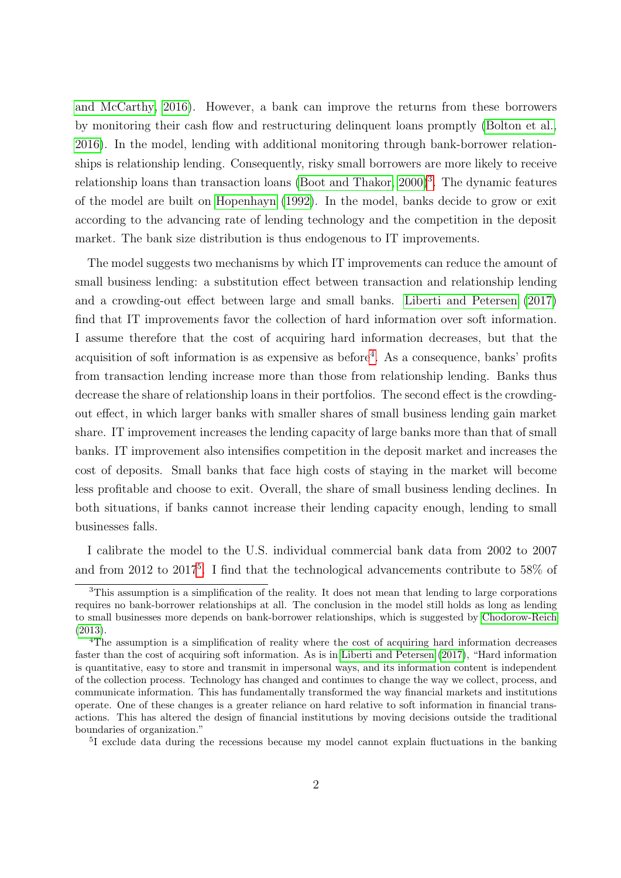[and McCarthy, 2016\)](#page-28-2). However, a bank can improve the returns from these borrowers by monitoring their cash flow and restructuring delinquent loans promptly [\(Bolton et al.,](#page-26-0) [2016\)](#page-26-0). In the model, lending with additional monitoring through bank-borrower relationships is relationship lending. Consequently, risky small borrowers are more likely to receive relationship loans than transaction loans [\(Boot and Thakor, 2000\)](#page-26-1)<sup>[3](#page-2-0)</sup>. The dynamic features of the model are built on [Hopenhayn](#page-28-3) [\(1992\)](#page-28-3). In the model, banks decide to grow or exit according to the advancing rate of lending technology and the competition in the deposit market. The bank size distribution is thus endogenous to IT improvements.

The model suggests two mechanisms by which IT improvements can reduce the amount of small business lending: a substitution effect between transaction and relationship lending and a crowding-out effect between large and small banks. [Liberti and Petersen](#page-28-1) [\(2017\)](#page-28-1) find that IT improvements favor the collection of hard information over soft information. I assume therefore that the cost of acquiring hard information decreases, but that the acquisition of soft information is as expensive as before<sup>[4](#page-2-1)</sup>. As a consequence, banks' profits from transaction lending increase more than those from relationship lending. Banks thus decrease the share of relationship loans in their portfolios. The second effect is the crowdingout effect, in which larger banks with smaller shares of small business lending gain market share. IT improvement increases the lending capacity of large banks more than that of small banks. IT improvement also intensifies competition in the deposit market and increases the cost of deposits. Small banks that face high costs of staying in the market will become less profitable and choose to exit. Overall, the share of small business lending declines. In both situations, if banks cannot increase their lending capacity enough, lending to small businesses falls.

I calibrate the model to the U.S. individual commercial bank data from 2002 to 2007 and from 2012 to 2017<sup>[5](#page-2-2)</sup>. I find that the technological advancements contribute to 58% of

<span id="page-2-0"></span><sup>3</sup>This assumption is a simplification of the reality. It does not mean that lending to large corporations requires no bank-borrower relationships at all. The conclusion in the model still holds as long as lending to small businesses more depends on bank-borrower relationships, which is suggested by [Chodorow-Reich](#page-27-0) [\(2013\)](#page-27-0).

<span id="page-2-1"></span><sup>4</sup>The assumption is a simplification of reality where the cost of acquiring hard information decreases faster than the cost of acquiring soft information. As is in [Liberti and Petersen](#page-28-1) [\(2017\)](#page-28-1), "Hard information is quantitative, easy to store and transmit in impersonal ways, and its information content is independent of the collection process. Technology has changed and continues to change the way we collect, process, and communicate information. This has fundamentally transformed the way financial markets and institutions operate. One of these changes is a greater reliance on hard relative to soft information in financial transactions. This has altered the design of financial institutions by moving decisions outside the traditional boundaries of organization."

<span id="page-2-2"></span><sup>&</sup>lt;sup>5</sup>I exclude data during the recessions because my model cannot explain fluctuations in the banking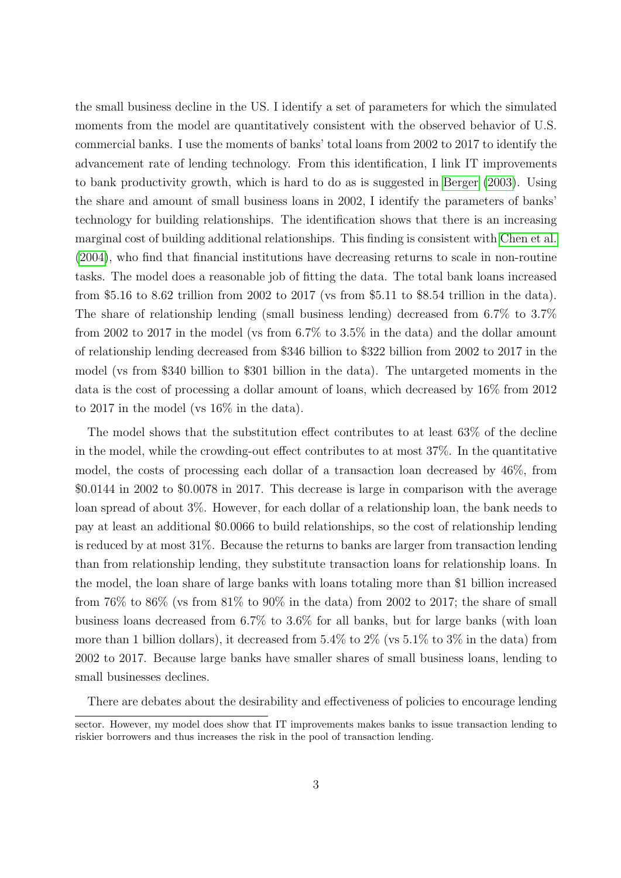the small business decline in the US. I identify a set of parameters for which the simulated moments from the model are quantitatively consistent with the observed behavior of U.S. commercial banks. I use the moments of banks' total loans from 2002 to 2017 to identify the advancement rate of lending technology. From this identification, I link IT improvements to bank productivity growth, which is hard to do as is suggested in [Berger](#page-25-2) [\(2003\)](#page-25-2). Using the share and amount of small business loans in 2002, I identify the parameters of banks' technology for building relationships. The identification shows that there is an increasing marginal cost of building additional relationships. This finding is consistent with [Chen et al.](#page-27-1) [\(2004\)](#page-27-1), who find that financial institutions have decreasing returns to scale in non-routine tasks. The model does a reasonable job of fitting the data. The total bank loans increased from \$5.16 to 8.62 trillion from 2002 to 2017 (vs from \$5.11 to \$8.54 trillion in the data). The share of relationship lending (small business lending) decreased from 6.7% to 3.7% from 2002 to 2017 in the model (vs from 6.7% to 3.5% in the data) and the dollar amount of relationship lending decreased from \$346 billion to \$322 billion from 2002 to 2017 in the model (vs from \$340 billion to \$301 billion in the data). The untargeted moments in the data is the cost of processing a dollar amount of loans, which decreased by 16% from 2012 to 2017 in the model (vs 16% in the data).

The model shows that the substitution effect contributes to at least 63% of the decline in the model, while the crowding-out effect contributes to at most 37%. In the quantitative model, the costs of processing each dollar of a transaction loan decreased by 46%, from \$0.0144 in 2002 to \$0.0078 in 2017. This decrease is large in comparison with the average loan spread of about 3%. However, for each dollar of a relationship loan, the bank needs to pay at least an additional \$0.0066 to build relationships, so the cost of relationship lending is reduced by at most 31%. Because the returns to banks are larger from transaction lending than from relationship lending, they substitute transaction loans for relationship loans. In the model, the loan share of large banks with loans totaling more than \$1 billion increased from  $76\%$  to  $86\%$  (vs from  $81\%$  to  $90\%$  in the data) from 2002 to 2017; the share of small business loans decreased from 6.7% to 3.6% for all banks, but for large banks (with loan more than 1 billion dollars), it decreased from  $5.4\%$  to  $2\%$  (vs  $5.1\%$  to  $3\%$  in the data) from 2002 to 2017. Because large banks have smaller shares of small business loans, lending to small businesses declines.

There are debates about the desirability and effectiveness of policies to encourage lending

sector. However, my model does show that IT improvements makes banks to issue transaction lending to riskier borrowers and thus increases the risk in the pool of transaction lending.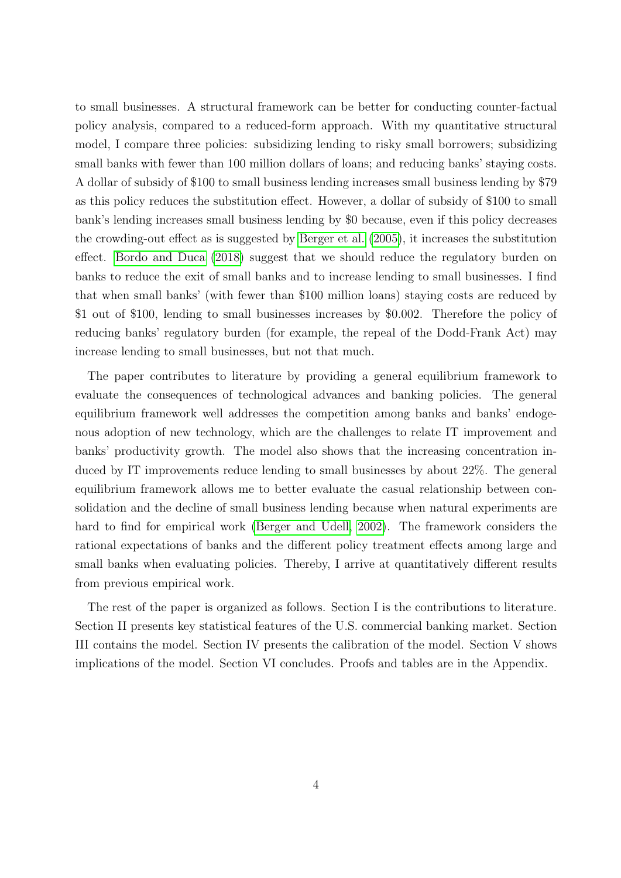to small businesses. A structural framework can be better for conducting counter-factual policy analysis, compared to a reduced-form approach. With my quantitative structural model, I compare three policies: subsidizing lending to risky small borrowers; subsidizing small banks with fewer than 100 million dollars of loans; and reducing banks' staying costs. A dollar of subsidy of \$100 to small business lending increases small business lending by \$79 as this policy reduces the substitution effect. However, a dollar of subsidy of \$100 to small bank's lending increases small business lending by \$0 because, even if this policy decreases the crowding-out effect as is suggested by [Berger et al.](#page-25-1) [\(2005\)](#page-25-1), it increases the substitution effect. [Bordo and Duca](#page-26-2) [\(2018\)](#page-26-2) suggest that we should reduce the regulatory burden on banks to reduce the exit of small banks and to increase lending to small businesses. I find that when small banks' (with fewer than \$100 million loans) staying costs are reduced by \$1 out of \$100, lending to small businesses increases by \$0.002. Therefore the policy of reducing banks' regulatory burden (for example, the repeal of the Dodd-Frank Act) may increase lending to small businesses, but not that much.

The paper contributes to literature by providing a general equilibrium framework to evaluate the consequences of technological advances and banking policies. The general equilibrium framework well addresses the competition among banks and banks' endogenous adoption of new technology, which are the challenges to relate IT improvement and banks' productivity growth. The model also shows that the increasing concentration induced by IT improvements reduce lending to small businesses by about 22%. The general equilibrium framework allows me to better evaluate the casual relationship between consolidation and the decline of small business lending because when natural experiments are hard to find for empirical work [\(Berger and Udell, 2002\)](#page-25-3). The framework considers the rational expectations of banks and the different policy treatment effects among large and small banks when evaluating policies. Thereby, I arrive at quantitatively different results from previous empirical work.

The rest of the paper is organized as follows. Section I is the contributions to literature. Section II presents key statistical features of the U.S. commercial banking market. Section III contains the model. Section IV presents the calibration of the model. Section V shows implications of the model. Section VI concludes. Proofs and tables are in the Appendix.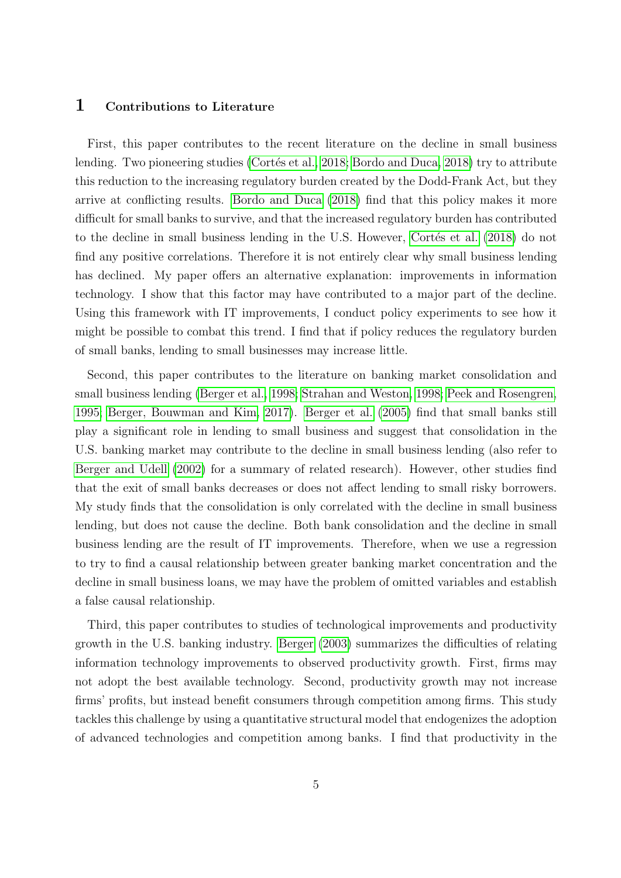# 1 Contributions to Literature

First, this paper contributes to the recent literature on the decline in small business lending. Two pioneering studies (Cortés et al., 2018; [Bordo and Duca, 2018\)](#page-26-2) try to attribute this reduction to the increasing regulatory burden created by the Dodd-Frank Act, but they arrive at conflicting results. [Bordo and Duca](#page-26-2) [\(2018\)](#page-26-2) find that this policy makes it more difficult for small banks to survive, and that the increased regulatory burden has contributed to the decline in small business lending in the U.S. However, Cortés et al. [\(2018\)](#page-27-2) do not find any positive correlations. Therefore it is not entirely clear why small business lending has declined. My paper offers an alternative explanation: improvements in information technology. I show that this factor may have contributed to a major part of the decline. Using this framework with IT improvements, I conduct policy experiments to see how it might be possible to combat this trend. I find that if policy reduces the regulatory burden of small banks, lending to small businesses may increase little.

Second, this paper contributes to the literature on banking market consolidation and small business lending [\(Berger et al., 1998;](#page-25-4) [Strahan and Weston, 1998;](#page-29-2) [Peek and Rosengren,](#page-29-3) [1995;](#page-29-3) [Berger, Bouwman and Kim, 2017\)](#page-25-5). [Berger et al.](#page-25-1) [\(2005\)](#page-25-1) find that small banks still play a significant role in lending to small business and suggest that consolidation in the U.S. banking market may contribute to the decline in small business lending (also refer to [Berger and Udell](#page-25-3) [\(2002\)](#page-25-3) for a summary of related research). However, other studies find that the exit of small banks decreases or does not affect lending to small risky borrowers. My study finds that the consolidation is only correlated with the decline in small business lending, but does not cause the decline. Both bank consolidation and the decline in small business lending are the result of IT improvements. Therefore, when we use a regression to try to find a causal relationship between greater banking market concentration and the decline in small business loans, we may have the problem of omitted variables and establish a false causal relationship.

Third, this paper contributes to studies of technological improvements and productivity growth in the U.S. banking industry. [Berger](#page-25-2) [\(2003\)](#page-25-2) summarizes the difficulties of relating information technology improvements to observed productivity growth. First, firms may not adopt the best available technology. Second, productivity growth may not increase firms' profits, but instead benefit consumers through competition among firms. This study tackles this challenge by using a quantitative structural model that endogenizes the adoption of advanced technologies and competition among banks. I find that productivity in the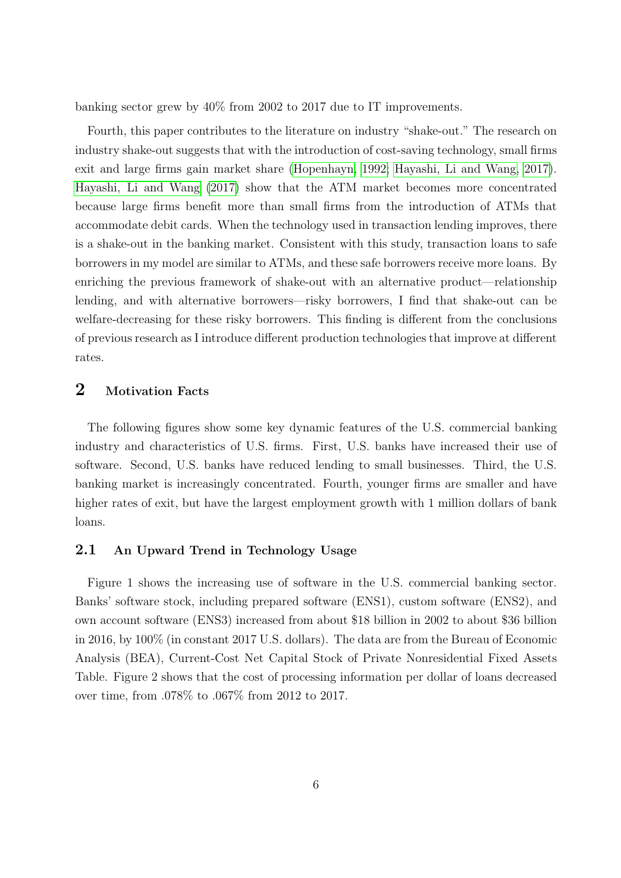banking sector grew by 40% from 2002 to 2017 due to IT improvements.

Fourth, this paper contributes to the literature on industry "shake-out." The research on industry shake-out suggests that with the introduction of cost-saving technology, small firms exit and large firms gain market share [\(Hopenhayn, 1992;](#page-28-3) [Hayashi, Li and Wang, 2017\)](#page-28-0). [Hayashi, Li and Wang](#page-28-0) [\(2017\)](#page-28-0) show that the ATM market becomes more concentrated because large firms benefit more than small firms from the introduction of ATMs that accommodate debit cards. When the technology used in transaction lending improves, there is a shake-out in the banking market. Consistent with this study, transaction loans to safe borrowers in my model are similar to ATMs, and these safe borrowers receive more loans. By enriching the previous framework of shake-out with an alternative product—relationship lending, and with alternative borrowers—risky borrowers, I find that shake-out can be welfare-decreasing for these risky borrowers. This finding is different from the conclusions of previous research as I introduce different production technologies that improve at different rates.

# 2 Motivation Facts

The following figures show some key dynamic features of the U.S. commercial banking industry and characteristics of U.S. firms. First, U.S. banks have increased their use of software. Second, U.S. banks have reduced lending to small businesses. Third, the U.S. banking market is increasingly concentrated. Fourth, younger firms are smaller and have higher rates of exit, but have the largest employment growth with 1 million dollars of bank loans.

## 2.1 An Upward Trend in Technology Usage

Figure 1 shows the increasing use of software in the U.S. commercial banking sector. Banks' software stock, including prepared software (ENS1), custom software (ENS2), and own account software (ENS3) increased from about \$18 billion in 2002 to about \$36 billion in 2016, by 100% (in constant 2017 U.S. dollars). The data are from the Bureau of Economic Analysis (BEA), Current-Cost Net Capital Stock of Private Nonresidential Fixed Assets Table. Figure 2 shows that the cost of processing information per dollar of loans decreased over time, from .078% to .067% from 2012 to 2017.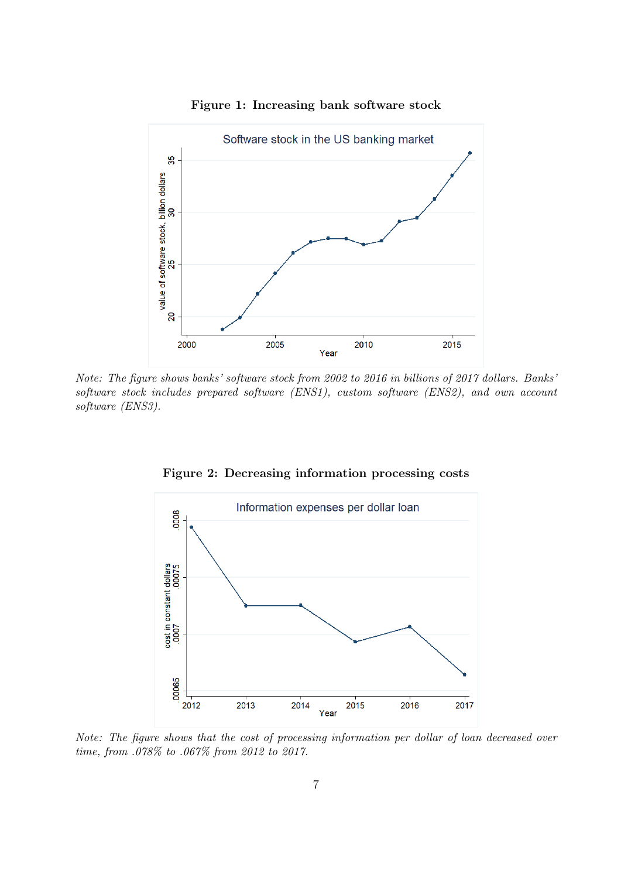

Figure 1: Increasing bank software stock

Note: The figure shows banks' software stock from 2002 to 2016 in billions of 2017 dollars. Banks' software stock includes prepared software (ENS1), custom software (ENS2), and own account software (ENS3).



Figure 2: Decreasing information processing costs

Note: The figure shows that the cost of processing information per dollar of loan decreased over time, from .078% to .067% from 2012 to 2017.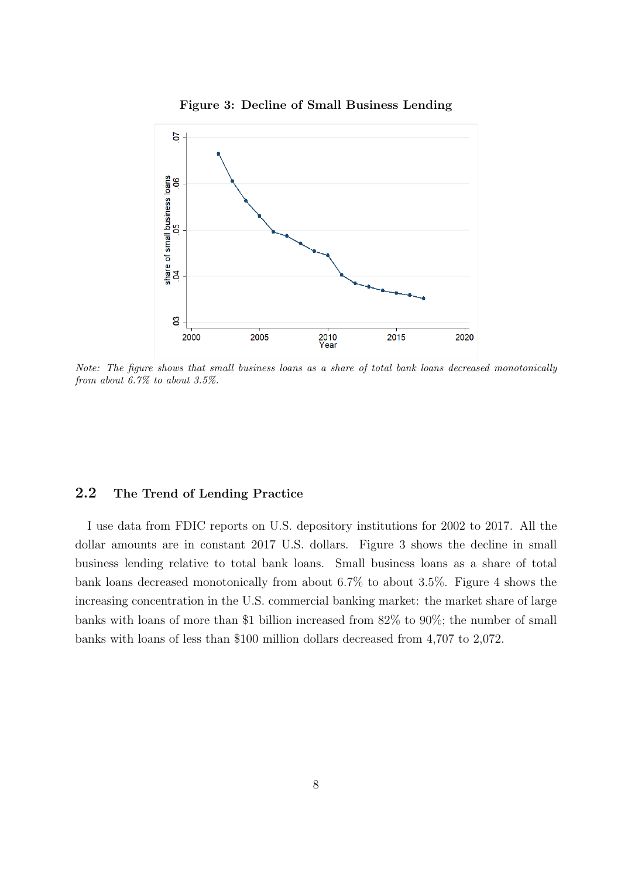



Note: The figure shows that small business loans as a share of total bank loans decreased monotonically from about 6.7% to about 3.5%.

# 2.2 The Trend of Lending Practice

I use data from FDIC reports on U.S. depository institutions for 2002 to 2017. All the dollar amounts are in constant 2017 U.S. dollars. Figure 3 shows the decline in small business lending relative to total bank loans. Small business loans as a share of total bank loans decreased monotonically from about 6.7% to about 3.5%. Figure 4 shows the increasing concentration in the U.S. commercial banking market: the market share of large banks with loans of more than \$1 billion increased from 82% to 90%; the number of small banks with loans of less than \$100 million dollars decreased from 4,707 to 2,072.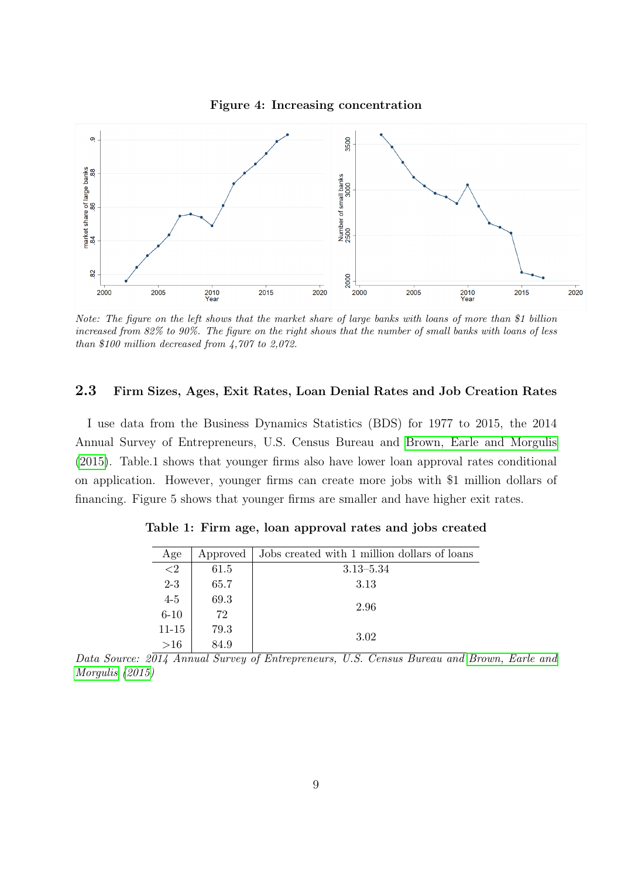

Note: The figure on the left shows that the market share of large banks with loans of more than \$1 billion increased from 82% to 90%. The figure on the right shows that the number of small banks with loans of less than \$100 million decreased from 4,707 to 2,072.

## 2.3 Firm Sizes, Ages, Exit Rates, Loan Denial Rates and Job Creation Rates

I use data from the Business Dynamics Statistics (BDS) for 1977 to 2015, the 2014 Annual Survey of Entrepreneurs, U.S. Census Bureau and [Brown, Earle and Morgulis](#page-26-3) [\(2015\)](#page-26-3). Table.1 shows that younger firms also have lower loan approval rates conditional on application. However, younger firms can create more jobs with \$1 million dollars of financing. Figure 5 shows that younger firms are smaller and have higher exit rates.

| Age      | Approved | Jobs created with 1 million dollars of loans |
|----------|----------|----------------------------------------------|
| ${<}2$   | 61.5     | $3.13 - 5.34$                                |
| $2 - 3$  | 65.7     | 3.13                                         |
| $4-5$    | 69.3     | 2.96                                         |
| $6 - 10$ | 72       |                                              |
| 11-15    | 79.3     |                                              |
| >16      | 84.9     | 3.02                                         |

Table 1: Firm age, loan approval rates and jobs created

Data Source: 2014 Annual Survey of Entrepreneurs, U.S. Census Bureau and [Brown, Earle and](#page-26-3) [Morgulis](#page-26-3) [\(2015\)](#page-26-3)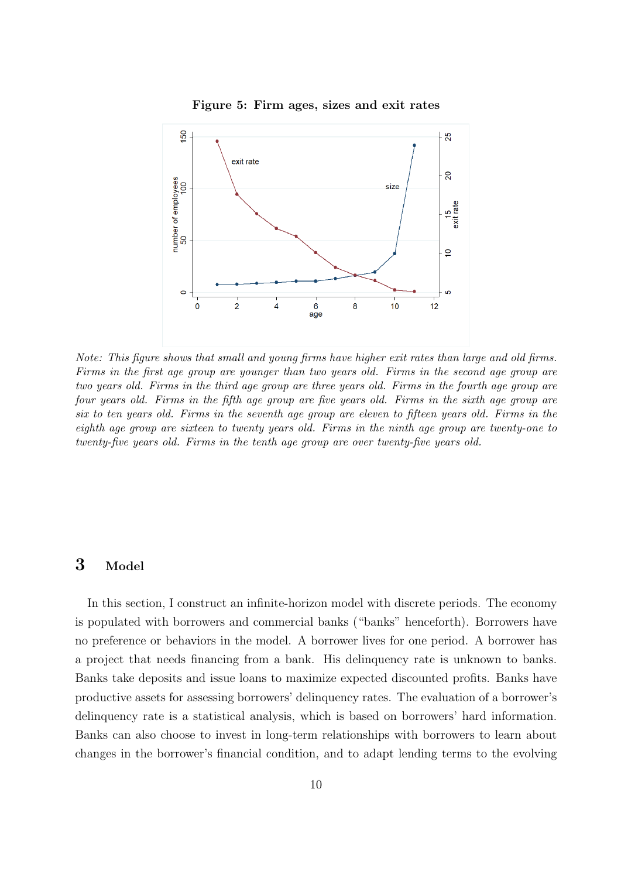

Figure 5: Firm ages, sizes and exit rates

Note: This figure shows that small and young firms have higher exit rates than large and old firms. Firms in the first age group are younger than two years old. Firms in the second age group are two years old. Firms in the third age group are three years old. Firms in the fourth age group are four years old. Firms in the fifth age group are five years old. Firms in the sixth age group are six to ten years old. Firms in the seventh age group are eleven to fifteen years old. Firms in the eighth age group are sixteen to twenty years old. Firms in the ninth age group are twenty-one to twenty-five years old. Firms in the tenth age group are over twenty-five years old.

# 3 Model

In this section, I construct an infinite-horizon model with discrete periods. The economy is populated with borrowers and commercial banks ("banks" henceforth). Borrowers have no preference or behaviors in the model. A borrower lives for one period. A borrower has a project that needs financing from a bank. His delinquency rate is unknown to banks. Banks take deposits and issue loans to maximize expected discounted profits. Banks have productive assets for assessing borrowers' delinquency rates. The evaluation of a borrower's delinquency rate is a statistical analysis, which is based on borrowers' hard information. Banks can also choose to invest in long-term relationships with borrowers to learn about changes in the borrower's financial condition, and to adapt lending terms to the evolving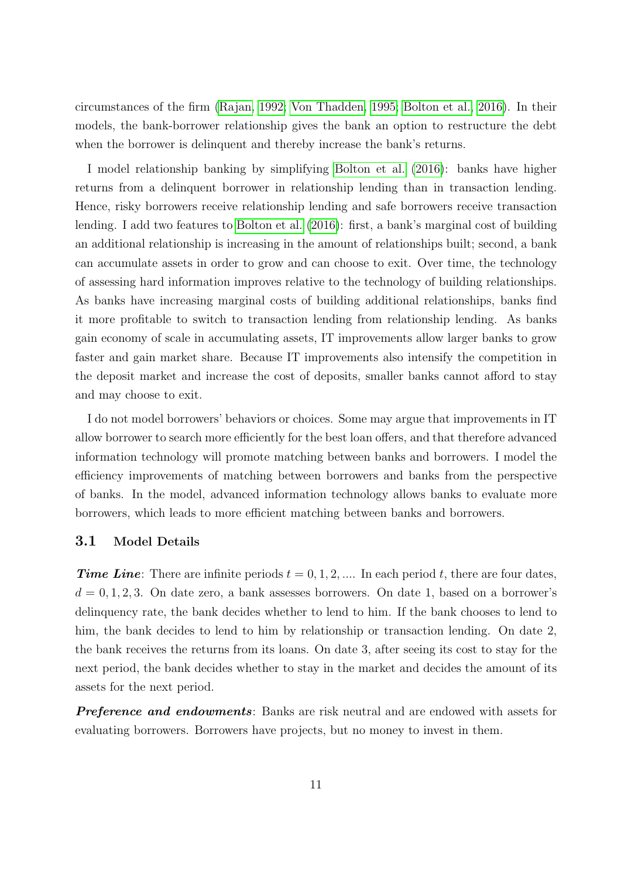circumstances of the firm [\(Rajan, 1992;](#page-29-4) [Von Thadden, 1995;](#page-30-0) [Bolton et al., 2016\)](#page-26-0). In their models, the bank-borrower relationship gives the bank an option to restructure the debt when the borrower is delinquent and thereby increase the bank's returns.

I model relationship banking by simplifying [Bolton et al.](#page-26-0) [\(2016\)](#page-26-0): banks have higher returns from a delinquent borrower in relationship lending than in transaction lending. Hence, risky borrowers receive relationship lending and safe borrowers receive transaction lending. I add two features to [Bolton et al.](#page-26-0) [\(2016\)](#page-26-0): first, a bank's marginal cost of building an additional relationship is increasing in the amount of relationships built; second, a bank can accumulate assets in order to grow and can choose to exit. Over time, the technology of assessing hard information improves relative to the technology of building relationships. As banks have increasing marginal costs of building additional relationships, banks find it more profitable to switch to transaction lending from relationship lending. As banks gain economy of scale in accumulating assets, IT improvements allow larger banks to grow faster and gain market share. Because IT improvements also intensify the competition in the deposit market and increase the cost of deposits, smaller banks cannot afford to stay and may choose to exit.

I do not model borrowers' behaviors or choices. Some may argue that improvements in IT allow borrower to search more efficiently for the best loan offers, and that therefore advanced information technology will promote matching between banks and borrowers. I model the efficiency improvements of matching between borrowers and banks from the perspective of banks. In the model, advanced information technology allows banks to evaluate more borrowers, which leads to more efficient matching between banks and borrowers.

## 3.1 Model Details

**Time Line:** There are infinite periods  $t = 0, 1, 2, ...$  In each period t, there are four dates,  $d = 0, 1, 2, 3$ . On date zero, a bank assesses borrowers. On date 1, based on a borrower's delinquency rate, the bank decides whether to lend to him. If the bank chooses to lend to him, the bank decides to lend to him by relationship or transaction lending. On date 2, the bank receives the returns from its loans. On date 3, after seeing its cost to stay for the next period, the bank decides whether to stay in the market and decides the amount of its assets for the next period.

**Preference and endowments**: Banks are risk neutral and are endowed with assets for evaluating borrowers. Borrowers have projects, but no money to invest in them.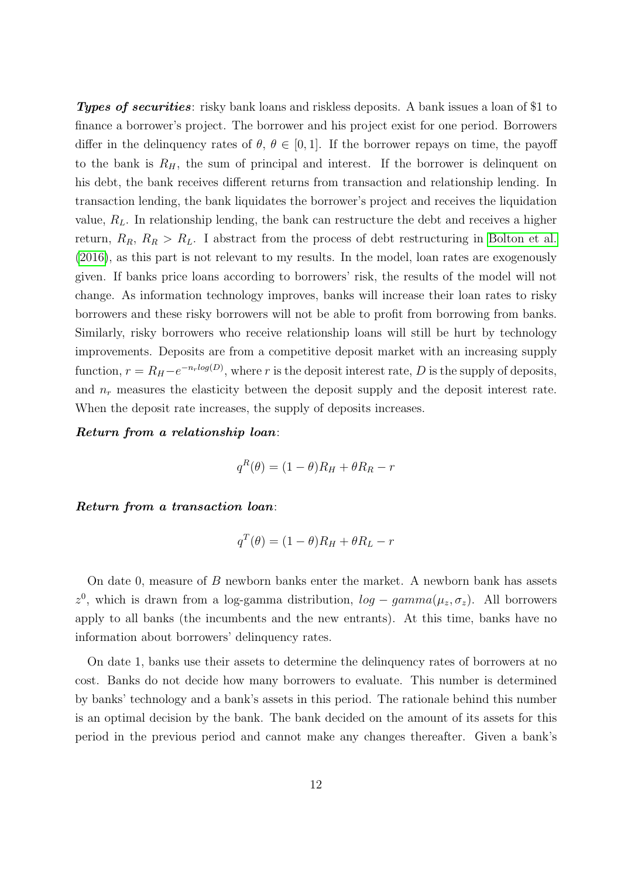Types of securities: risky bank loans and riskless deposits. A bank issues a loan of \$1 to finance a borrower's project. The borrower and his project exist for one period. Borrowers differ in the delinquency rates of  $\theta$ ,  $\theta \in [0, 1]$ . If the borrower repays on time, the payoff to the bank is  $R_H$ , the sum of principal and interest. If the borrower is delinquent on his debt, the bank receives different returns from transaction and relationship lending. In transaction lending, the bank liquidates the borrower's project and receives the liquidation value,  $R_L$ . In relationship lending, the bank can restructure the debt and receives a higher return,  $R_R$ ,  $R_R > R_L$ . I abstract from the process of debt restructuring in [Bolton et al.](#page-26-0) [\(2016\)](#page-26-0), as this part is not relevant to my results. In the model, loan rates are exogenously given. If banks price loans according to borrowers' risk, the results of the model will not change. As information technology improves, banks will increase their loan rates to risky borrowers and these risky borrowers will not be able to profit from borrowing from banks. Similarly, risky borrowers who receive relationship loans will still be hurt by technology improvements. Deposits are from a competitive deposit market with an increasing supply function,  $r = R_H - e^{-n_r \log(D)}$ , where r is the deposit interest rate, D is the supply of deposits, and  $n_r$  measures the elasticity between the deposit supply and the deposit interest rate. When the deposit rate increases, the supply of deposits increases.

Return from a relationship loan:

$$
q^R(\theta) = (1 - \theta)R_H + \theta R_R - r
$$

Return from a transaction loan:

$$
q^T(\theta) = (1 - \theta)R_H + \theta R_L - r
$$

On date 0, measure of B newborn banks enter the market. A newborn bank has assets z<sup>0</sup>, which is drawn from a log-gamma distribution,  $log-gamma(\mu_z, \sigma_z)$ . All borrowers apply to all banks (the incumbents and the new entrants). At this time, banks have no information about borrowers' delinquency rates.

On date 1, banks use their assets to determine the delinquency rates of borrowers at no cost. Banks do not decide how many borrowers to evaluate. This number is determined by banks' technology and a bank's assets in this period. The rationale behind this number is an optimal decision by the bank. The bank decided on the amount of its assets for this period in the previous period and cannot make any changes thereafter. Given a bank's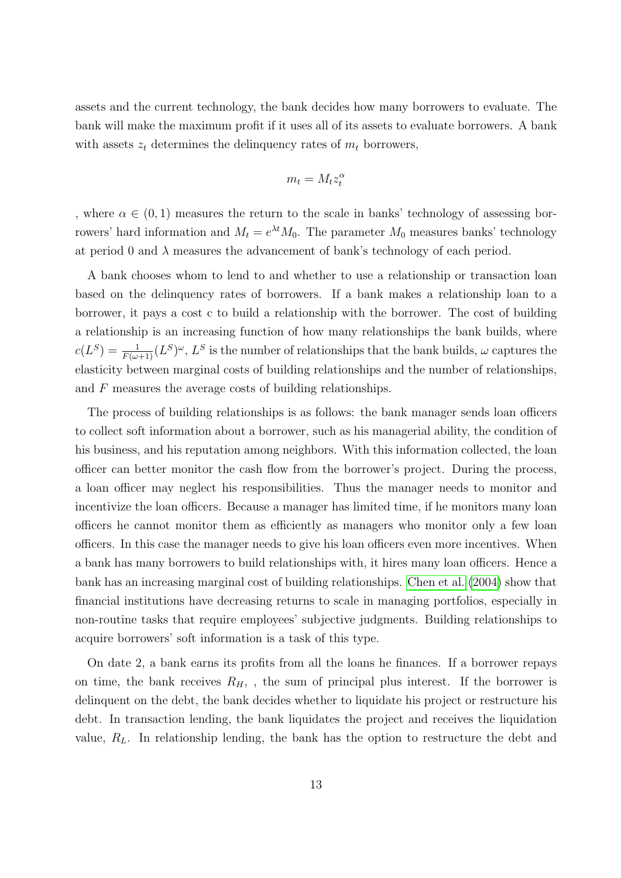assets and the current technology, the bank decides how many borrowers to evaluate. The bank will make the maximum profit if it uses all of its assets to evaluate borrowers. A bank with assets  $z_t$  determines the delinquency rates of  $m_t$  borrowers,

$$
m_t = M_t z_t^\alpha
$$

, where  $\alpha \in (0,1)$  measures the return to the scale in banks' technology of assessing borrowers' hard information and  $M_t = e^{\lambda t} M_0$ . The parameter  $M_0$  measures banks' technology at period 0 and  $\lambda$  measures the advancement of bank's technology of each period.

A bank chooses whom to lend to and whether to use a relationship or transaction loan based on the delinquency rates of borrowers. If a bank makes a relationship loan to a borrower, it pays a cost c to build a relationship with the borrower. The cost of building a relationship is an increasing function of how many relationships the bank builds, where  $c(L^{S}) = \frac{1}{F(\omega+1)}(L^{S})^{\omega}$ ,  $L^{S}$  is the number of relationships that the bank builds,  $\omega$  captures the elasticity between marginal costs of building relationships and the number of relationships, and F measures the average costs of building relationships.

The process of building relationships is as follows: the bank manager sends loan officers to collect soft information about a borrower, such as his managerial ability, the condition of his business, and his reputation among neighbors. With this information collected, the loan officer can better monitor the cash flow from the borrower's project. During the process, a loan officer may neglect his responsibilities. Thus the manager needs to monitor and incentivize the loan officers. Because a manager has limited time, if he monitors many loan officers he cannot monitor them as efficiently as managers who monitor only a few loan officers. In this case the manager needs to give his loan officers even more incentives. When a bank has many borrowers to build relationships with, it hires many loan officers. Hence a bank has an increasing marginal cost of building relationships. [Chen et al.](#page-27-1) [\(2004\)](#page-27-1) show that financial institutions have decreasing returns to scale in managing portfolios, especially in non-routine tasks that require employees' subjective judgments. Building relationships to acquire borrowers' soft information is a task of this type.

On date 2, a bank earns its profits from all the loans he finances. If a borrower repays on time, the bank receives  $R_H$ , , the sum of principal plus interest. If the borrower is delinquent on the debt, the bank decides whether to liquidate his project or restructure his debt. In transaction lending, the bank liquidates the project and receives the liquidation value,  $R_L$ . In relationship lending, the bank has the option to restructure the debt and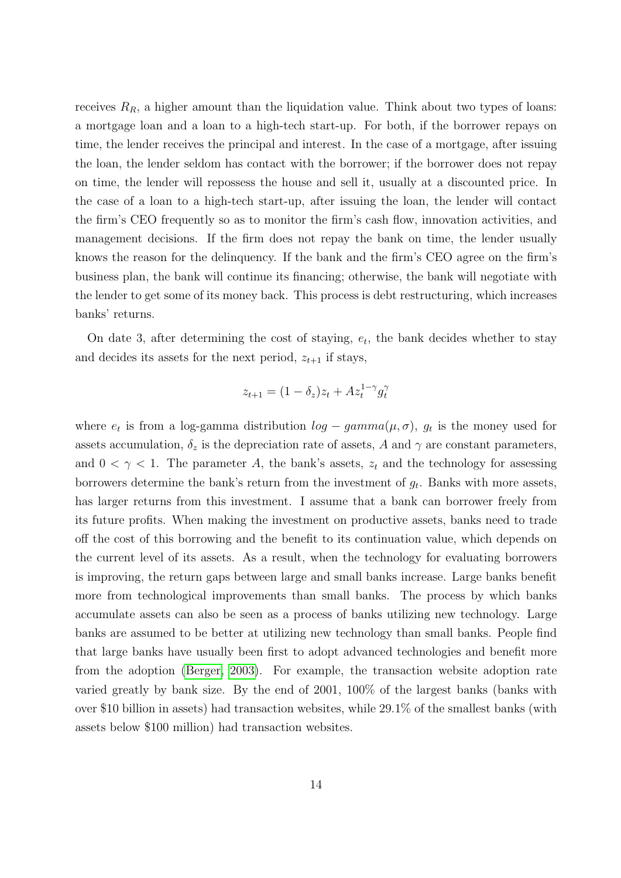receives  $R_R$ , a higher amount than the liquidation value. Think about two types of loans: a mortgage loan and a loan to a high-tech start-up. For both, if the borrower repays on time, the lender receives the principal and interest. In the case of a mortgage, after issuing the loan, the lender seldom has contact with the borrower; if the borrower does not repay on time, the lender will repossess the house and sell it, usually at a discounted price. In the case of a loan to a high-tech start-up, after issuing the loan, the lender will contact the firm's CEO frequently so as to monitor the firm's cash flow, innovation activities, and management decisions. If the firm does not repay the bank on time, the lender usually knows the reason for the delinquency. If the bank and the firm's CEO agree on the firm's business plan, the bank will continue its financing; otherwise, the bank will negotiate with the lender to get some of its money back. This process is debt restructuring, which increases banks' returns.

On date 3, after determining the cost of staying,  $e_t$ , the bank decides whether to stay and decides its assets for the next period,  $z_{t+1}$  if stays,

$$
z_{t+1} = (1 - \delta_z)z_t + Az_t^{1-\gamma}g_t^{\gamma}
$$

where  $e_t$  is from a log-gamma distribution  $log-gamma(\mu, \sigma)$ ,  $g_t$  is the money used for assets accumulation,  $\delta_z$  is the depreciation rate of assets, A and  $\gamma$  are constant parameters, and  $0 < \gamma < 1$ . The parameter A, the bank's assets,  $z_t$  and the technology for assessing borrowers determine the bank's return from the investment of  $g_t$ . Banks with more assets, has larger returns from this investment. I assume that a bank can borrower freely from its future profits. When making the investment on productive assets, banks need to trade off the cost of this borrowing and the benefit to its continuation value, which depends on the current level of its assets. As a result, when the technology for evaluating borrowers is improving, the return gaps between large and small banks increase. Large banks benefit more from technological improvements than small banks. The process by which banks accumulate assets can also be seen as a process of banks utilizing new technology. Large banks are assumed to be better at utilizing new technology than small banks. People find that large banks have usually been first to adopt advanced technologies and benefit more from the adoption [\(Berger, 2003\)](#page-25-2). For example, the transaction website adoption rate varied greatly by bank size. By the end of 2001, 100% of the largest banks (banks with over \$10 billion in assets) had transaction websites, while 29.1% of the smallest banks (with assets below \$100 million) had transaction websites.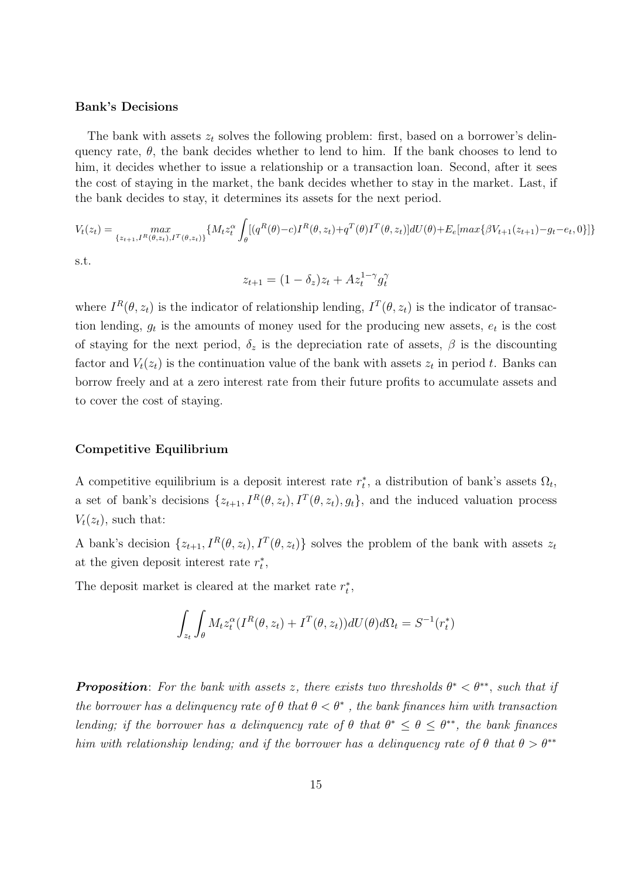#### Bank's Decisions

The bank with assets  $z_t$  solves the following problem: first, based on a borrower's delinquency rate,  $\theta$ , the bank decides whether to lend to him. If the bank chooses to lend to him, it decides whether to issue a relationship or a transaction loan. Second, after it sees the cost of staying in the market, the bank decides whether to stay in the market. Last, if the bank decides to stay, it determines its assets for the next period.

$$
V_t(z_t) = \max_{\{z_{t+1}, I^R(\theta, z_t), I^T(\theta, z_t)\}} \{M_t z_t^{\alpha} \int_{\theta} [(q^R(\theta) - c) I^R(\theta, z_t) + q^T(\theta) I^T(\theta, z_t)] dU(\theta) + E_e[\max\{\beta V_{t+1}(z_{t+1}) - g_t - e_t, 0\}]\}
$$

s.t.

$$
z_{t+1} = (1 - \delta_z)z_t + Az_t^{1-\gamma}g_t^{\gamma}
$$

where  $I^R(\theta, z_t)$  is the indicator of relationship lending,  $I^T(\theta, z_t)$  is the indicator of transaction lending,  $g_t$  is the amounts of money used for the producing new assets,  $e_t$  is the cost of staying for the next period,  $\delta_z$  is the depreciation rate of assets,  $\beta$  is the discounting factor and  $V_t(z_t)$  is the continuation value of the bank with assets  $z_t$  in period t. Banks can borrow freely and at a zero interest rate from their future profits to accumulate assets and to cover the cost of staying.

#### Competitive Equilibrium

A competitive equilibrium is a deposit interest rate  $r_t^*$ , a distribution of bank's assets  $\Omega_t$ , a set of bank's decisions  $\{z_{t+1}, I^R(\theta, z_t), I^T(\theta, z_t), g_t\}$ , and the induced valuation process  $V_t(z_t)$ , such that:

A bank's decision  $\{z_{t+1}, I^R(\theta, z_t), I^T(\theta, z_t)\}\$  solves the problem of the bank with assets  $z_t$ at the given deposit interest rate  $r_t^*$ ,

The deposit market is cleared at the market rate  $r_t^\ast,$ 

$$
\int_{z_t} \int_{\theta} M_t z_t^{\alpha} (I^R(\theta, z_t) + I^T(\theta, z_t)) dU(\theta) d\Omega_t = S^{-1}(r_t^*)
$$

**Proposition**: For the bank with assets z, there exists two thresholds  $\theta^* < \theta^{**}$ , such that if the borrower has a delinquency rate of  $\theta$  that  $\theta < \theta^*$ , the bank finances him with transaction lending; if the borrower has a delinguency rate of  $\theta$  that  $\theta^* \leq \theta \leq \theta^{**}$ , the bank finances him with relationship lending; and if the borrower has a delinquency rate of  $\theta$  that  $\theta > \theta^{**}$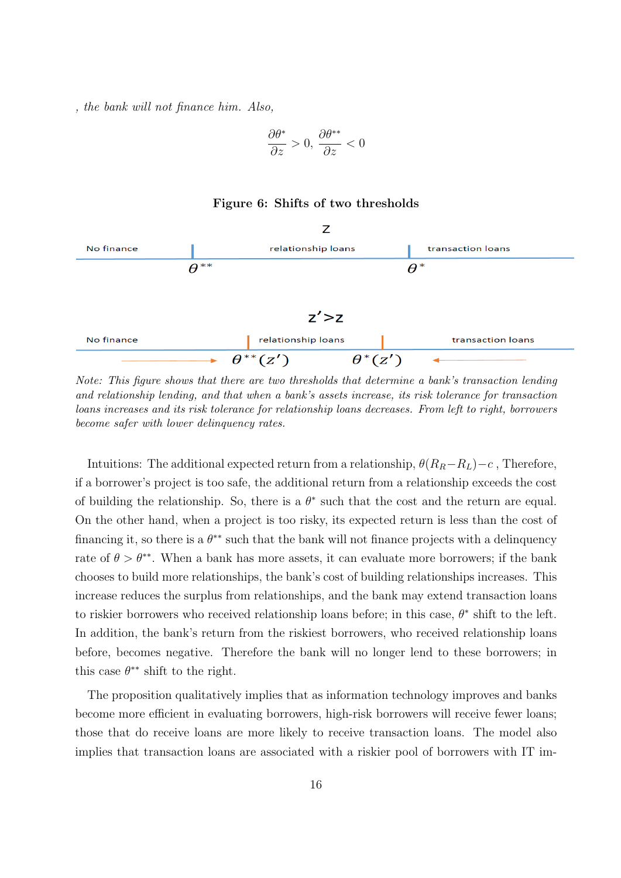, the bank will not finance him. Also,

$$
\frac{\partial \theta^*}{\partial z} > 0, \, \frac{\partial \theta^{**}}{\partial z} < 0
$$

## Figure 6: Shifts of two thresholds



Note: This figure shows that there are two thresholds that determine a bank's transaction lending and relationship lending, and that when a bank's assets increase, its risk tolerance for transaction loans increases and its risk tolerance for relationship loans decreases. From left to right, borrowers become safer with lower delinquency rates.

Intuitions: The additional expected return from a relationship,  $\theta(R_R-R_L)-c$ , Therefore, if a borrower's project is too safe, the additional return from a relationship exceeds the cost of building the relationship. So, there is a  $\theta^*$  such that the cost and the return are equal. On the other hand, when a project is too risky, its expected return is less than the cost of financing it, so there is a  $\theta^{**}$  such that the bank will not finance projects with a delinquency rate of  $\theta > \theta^{**}$ . When a bank has more assets, it can evaluate more borrowers; if the bank chooses to build more relationships, the bank's cost of building relationships increases. This increase reduces the surplus from relationships, and the bank may extend transaction loans to riskier borrowers who received relationship loans before; in this case,  $\theta^*$  shift to the left. In addition, the bank's return from the riskiest borrowers, who received relationship loans before, becomes negative. Therefore the bank will no longer lend to these borrowers; in this case  $\theta^{**}$  shift to the right.

The proposition qualitatively implies that as information technology improves and banks become more efficient in evaluating borrowers, high-risk borrowers will receive fewer loans; those that do receive loans are more likely to receive transaction loans. The model also implies that transaction loans are associated with a riskier pool of borrowers with IT im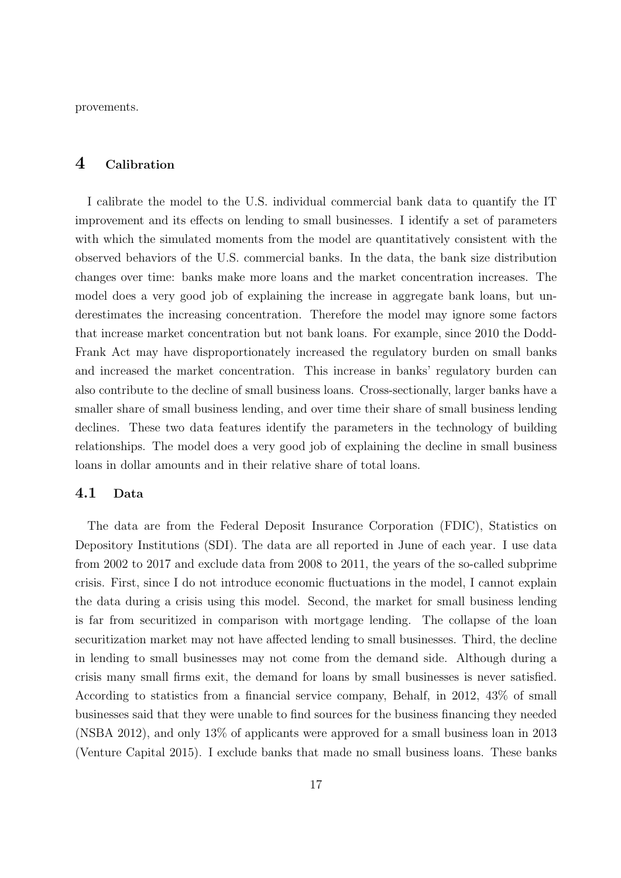provements.

# 4 Calibration

I calibrate the model to the U.S. individual commercial bank data to quantify the IT improvement and its effects on lending to small businesses. I identify a set of parameters with which the simulated moments from the model are quantitatively consistent with the observed behaviors of the U.S. commercial banks. In the data, the bank size distribution changes over time: banks make more loans and the market concentration increases. The model does a very good job of explaining the increase in aggregate bank loans, but underestimates the increasing concentration. Therefore the model may ignore some factors that increase market concentration but not bank loans. For example, since 2010 the Dodd-Frank Act may have disproportionately increased the regulatory burden on small banks and increased the market concentration. This increase in banks' regulatory burden can also contribute to the decline of small business loans. Cross-sectionally, larger banks have a smaller share of small business lending, and over time their share of small business lending declines. These two data features identify the parameters in the technology of building relationships. The model does a very good job of explaining the decline in small business loans in dollar amounts and in their relative share of total loans.

## 4.1 Data

The data are from the Federal Deposit Insurance Corporation (FDIC), Statistics on Depository Institutions (SDI). The data are all reported in June of each year. I use data from 2002 to 2017 and exclude data from 2008 to 2011, the years of the so-called subprime crisis. First, since I do not introduce economic fluctuations in the model, I cannot explain the data during a crisis using this model. Second, the market for small business lending is far from securitized in comparison with mortgage lending. The collapse of the loan securitization market may not have affected lending to small businesses. Third, the decline in lending to small businesses may not come from the demand side. Although during a crisis many small firms exit, the demand for loans by small businesses is never satisfied. According to statistics from a financial service company, Behalf, in 2012, 43% of small businesses said that they were unable to find sources for the business financing they needed (NSBA 2012), and only 13% of applicants were approved for a small business loan in 2013 (Venture Capital 2015). I exclude banks that made no small business loans. These banks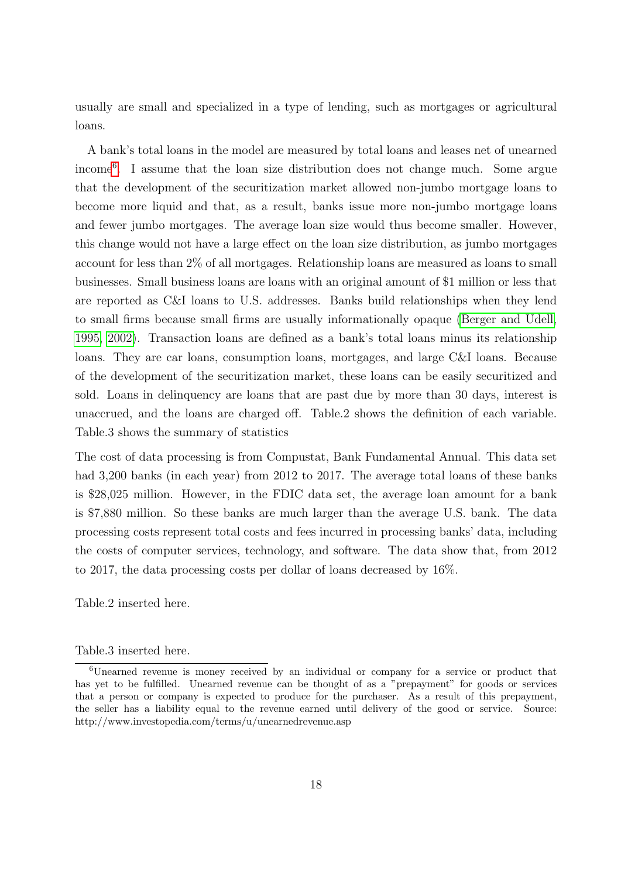usually are small and specialized in a type of lending, such as mortgages or agricultural loans.

A bank's total loans in the model are measured by total loans and leases net of unearned income[6](#page-18-0) . I assume that the loan size distribution does not change much. Some argue that the development of the securitization market allowed non-jumbo mortgage loans to become more liquid and that, as a result, banks issue more non-jumbo mortgage loans and fewer jumbo mortgages. The average loan size would thus become smaller. However, this change would not have a large effect on the loan size distribution, as jumbo mortgages account for less than 2% of all mortgages. Relationship loans are measured as loans to small businesses. Small business loans are loans with an original amount of \$1 million or less that are reported as C&I loans to U.S. addresses. Banks build relationships when they lend to small firms because small firms are usually informationally opaque [\(Berger and Udell,](#page-25-6) [1995,](#page-25-6) [2002\)](#page-25-3). Transaction loans are defined as a bank's total loans minus its relationship loans. They are car loans, consumption loans, mortgages, and large C&I loans. Because of the development of the securitization market, these loans can be easily securitized and sold. Loans in delinquency are loans that are past due by more than 30 days, interest is unaccrued, and the loans are charged off. Table.2 shows the definition of each variable. Table.3 shows the summary of statistics

The cost of data processing is from Compustat, Bank Fundamental Annual. This data set had 3,200 banks (in each year) from 2012 to 2017. The average total loans of these banks is \$28,025 million. However, in the FDIC data set, the average loan amount for a bank is \$7,880 million. So these banks are much larger than the average U.S. bank. The data processing costs represent total costs and fees incurred in processing banks' data, including the costs of computer services, technology, and software. The data show that, from 2012 to 2017, the data processing costs per dollar of loans decreased by 16%.

Table.2 inserted here.

#### Table.3 inserted here.

<span id="page-18-0"></span><sup>6</sup>Unearned revenue is money received by an individual or company for a service or product that has yet to be fulfilled. Unearned revenue can be thought of as a "prepayment" for goods or services that a person or company is expected to produce for the purchaser. As a result of this prepayment, the seller has a liability equal to the revenue earned until delivery of the good or service. Source: http://www.investopedia.com/terms/u/unearnedrevenue.asp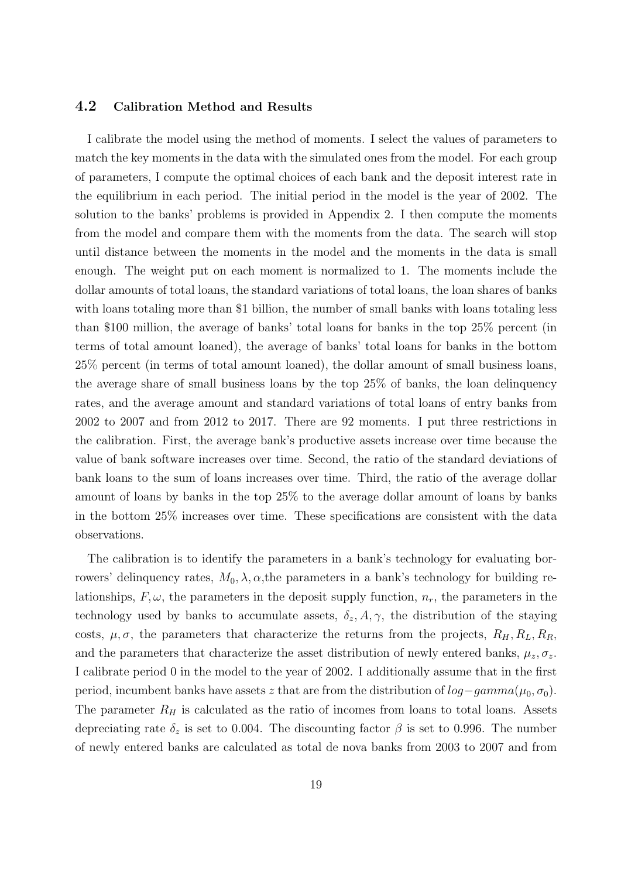## 4.2 Calibration Method and Results

I calibrate the model using the method of moments. I select the values of parameters to match the key moments in the data with the simulated ones from the model. For each group of parameters, I compute the optimal choices of each bank and the deposit interest rate in the equilibrium in each period. The initial period in the model is the year of 2002. The solution to the banks' problems is provided in Appendix 2. I then compute the moments from the model and compare them with the moments from the data. The search will stop until distance between the moments in the model and the moments in the data is small enough. The weight put on each moment is normalized to 1. The moments include the dollar amounts of total loans, the standard variations of total loans, the loan shares of banks with loans totaling more than \$1 billion, the number of small banks with loans totaling less than \$100 million, the average of banks' total loans for banks in the top 25% percent (in terms of total amount loaned), the average of banks' total loans for banks in the bottom 25% percent (in terms of total amount loaned), the dollar amount of small business loans, the average share of small business loans by the top 25% of banks, the loan delinquency rates, and the average amount and standard variations of total loans of entry banks from 2002 to 2007 and from 2012 to 2017. There are 92 moments. I put three restrictions in the calibration. First, the average bank's productive assets increase over time because the value of bank software increases over time. Second, the ratio of the standard deviations of bank loans to the sum of loans increases over time. Third, the ratio of the average dollar amount of loans by banks in the top 25% to the average dollar amount of loans by banks in the bottom 25% increases over time. These specifications are consistent with the data observations.

The calibration is to identify the parameters in a bank's technology for evaluating borrowers' delinquency rates,  $M_0, \lambda, \alpha$ , the parameters in a bank's technology for building relationships,  $F, \omega$ , the parameters in the deposit supply function,  $n_r$ , the parameters in the technology used by banks to accumulate assets,  $\delta_z$ ,  $A$ ,  $\gamma$ , the distribution of the staying costs,  $\mu$ ,  $\sigma$ , the parameters that characterize the returns from the projects,  $R_H$ ,  $R_L$ ,  $R_R$ , and the parameters that characterize the asset distribution of newly entered banks,  $\mu_z, \sigma_z$ . I calibrate period 0 in the model to the year of 2002. I additionally assume that in the first period, incumbent banks have assets z that are from the distribution of  $log-gamma(\mu_0, \sigma_0)$ . The parameter  $R_H$  is calculated as the ratio of incomes from loans to total loans. Assets depreciating rate  $\delta_z$  is set to 0.004. The discounting factor  $\beta$  is set to 0.996. The number of newly entered banks are calculated as total de nova banks from 2003 to 2007 and from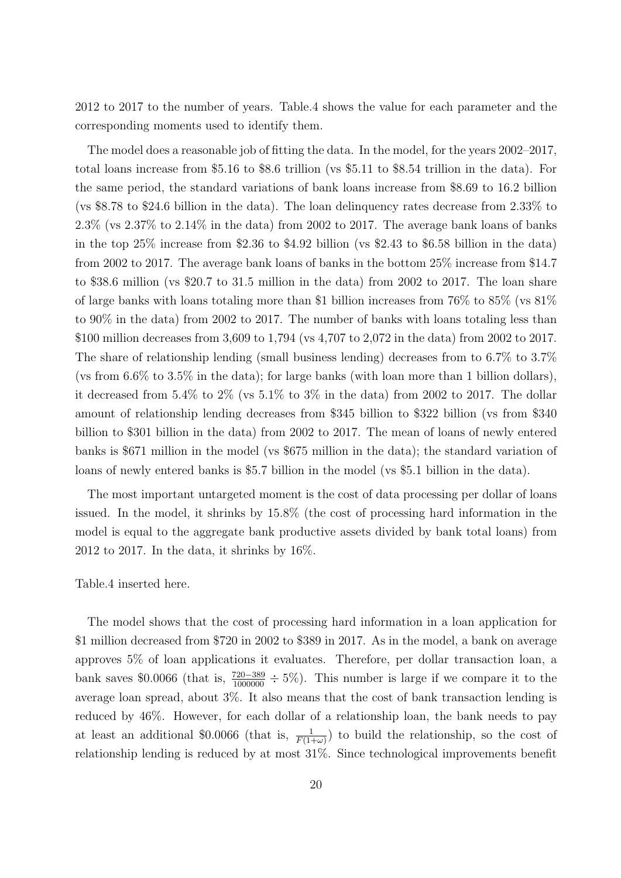2012 to 2017 to the number of years. Table.4 shows the value for each parameter and the corresponding moments used to identify them.

The model does a reasonable job of fitting the data. In the model, for the years 2002–2017, total loans increase from \$5.16 to \$8.6 trillion (vs \$5.11 to \$8.54 trillion in the data). For the same period, the standard variations of bank loans increase from \$8.69 to 16.2 billion (vs \$8.78 to \$24.6 billion in the data). The loan delinquency rates decrease from 2.33% to 2.3% (vs 2.37% to 2.14% in the data) from 2002 to 2017. The average bank loans of banks in the top 25% increase from \$2.36 to \$4.92 billion (vs \$2.43 to \$6.58 billion in the data) from 2002 to 2017. The average bank loans of banks in the bottom 25% increase from \$14.7 to \$38.6 million (vs \$20.7 to 31.5 million in the data) from 2002 to 2017. The loan share of large banks with loans totaling more than \$1 billion increases from 76% to 85% (vs 81% to 90% in the data) from 2002 to 2017. The number of banks with loans totaling less than \$100 million decreases from 3,609 to 1,794 (vs 4,707 to 2,072 in the data) from 2002 to 2017. The share of relationship lending (small business lending) decreases from to 6.7% to 3.7% (vs from 6.6% to 3.5% in the data); for large banks (with loan more than 1 billion dollars), it decreased from  $5.4\%$  to  $2\%$  (vs  $5.1\%$  to  $3\%$  in the data) from 2002 to 2017. The dollar amount of relationship lending decreases from \$345 billion to \$322 billion (vs from \$340 billion to \$301 billion in the data) from 2002 to 2017. The mean of loans of newly entered banks is \$671 million in the model (vs \$675 million in the data); the standard variation of loans of newly entered banks is \$5.7 billion in the model (vs \$5.1 billion in the data).

The most important untargeted moment is the cost of data processing per dollar of loans issued. In the model, it shrinks by 15.8% (the cost of processing hard information in the model is equal to the aggregate bank productive assets divided by bank total loans) from 2012 to 2017. In the data, it shrinks by 16%.

Table.4 inserted here.

The model shows that the cost of processing hard information in a loan application for \$1 million decreased from \$720 in 2002 to \$389 in 2017. As in the model, a bank on average approves 5% of loan applications it evaluates. Therefore, per dollar transaction loan, a bank saves \$0.0066 (that is,  $\frac{720-389}{1000000} \div 5\%$ ). This number is large if we compare it to the average loan spread, about 3%. It also means that the cost of bank transaction lending is reduced by 46%. However, for each dollar of a relationship loan, the bank needs to pay at least an additional \$0.0066 (that is,  $\frac{1}{F(1+\omega)}$ ) to build the relationship, so the cost of relationship lending is reduced by at most 31%. Since technological improvements benefit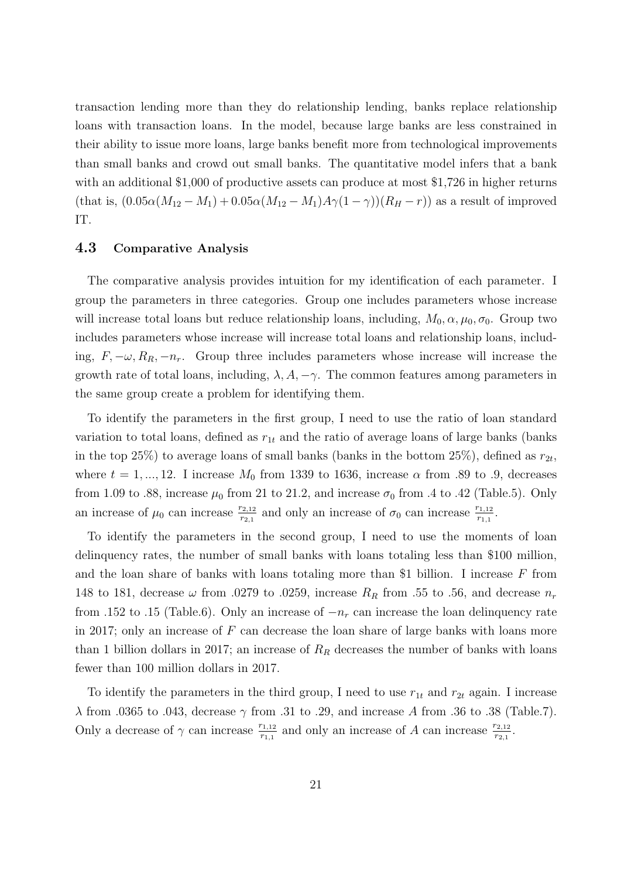transaction lending more than they do relationship lending, banks replace relationship loans with transaction loans. In the model, because large banks are less constrained in their ability to issue more loans, large banks benefit more from technological improvements than small banks and crowd out small banks. The quantitative model infers that a bank with an additional \$1,000 of productive assets can produce at most \$1,726 in higher returns (that is,  $(0.05\alpha(M_{12}-M_1)+0.05\alpha(M_{12}-M_1)A\gamma(1-\gamma))(R_H-r)$ ) as a result of improved IT.

# 4.3 Comparative Analysis

The comparative analysis provides intuition for my identification of each parameter. I group the parameters in three categories. Group one includes parameters whose increase will increase total loans but reduce relationship loans, including,  $M_0, \alpha, \mu_0, \sigma_0$ . Group two includes parameters whose increase will increase total loans and relationship loans, including,  $F, -\omega, R_R, -n_r$ . Group three includes parameters whose increase will increase the growth rate of total loans, including,  $\lambda$ ,  $A$ ,  $-\gamma$ . The common features among parameters in the same group create a problem for identifying them.

To identify the parameters in the first group, I need to use the ratio of loan standard variation to total loans, defined as  $r_{1t}$  and the ratio of average loans of large banks (banks in the top 25%) to average loans of small banks (banks in the bottom 25%), defined as  $r_{2t}$ , where  $t = 1, ..., 12$ . I increase  $M_0$  from 1339 to 1636, increase  $\alpha$  from .89 to .9, decreases from 1.09 to .88, increase  $\mu_0$  from 21 to 21.2, and increase  $\sigma_0$  from .4 to .42 (Table.5). Only an increase of  $\mu_0$  can increase  $\frac{r_{2,12}}{r_{2,1}}$  and only an increase of  $\sigma_0$  can increase  $\frac{r_{1,12}}{r_{1,1}}$ .

To identify the parameters in the second group, I need to use the moments of loan delinquency rates, the number of small banks with loans totaling less than \$100 million, and the loan share of banks with loans totaling more than \$1 billion. I increase  $F$  from 148 to 181, decrease  $\omega$  from .0279 to .0259, increase  $R_R$  from .55 to .56, and decrease  $n_r$ from .152 to .15 (Table.6). Only an increase of  $-n_r$  can increase the loan delinquency rate in 2017; only an increase of  $F$  can decrease the loan share of large banks with loans more than 1 billion dollars in 2017; an increase of  $R_R$  decreases the number of banks with loans fewer than 100 million dollars in 2017.

To identify the parameters in the third group, I need to use  $r_{1t}$  and  $r_{2t}$  again. I increase λ from .0365 to .043, decrease γ from .31 to .29, and increase A from .36 to .38 (Table.7). Only a decrease of  $\gamma$  can increase  $\frac{r_{1,12}}{r_{1,1}}$  and only an increase of A can increase  $\frac{r_{2,12}}{r_{2,1}}$ .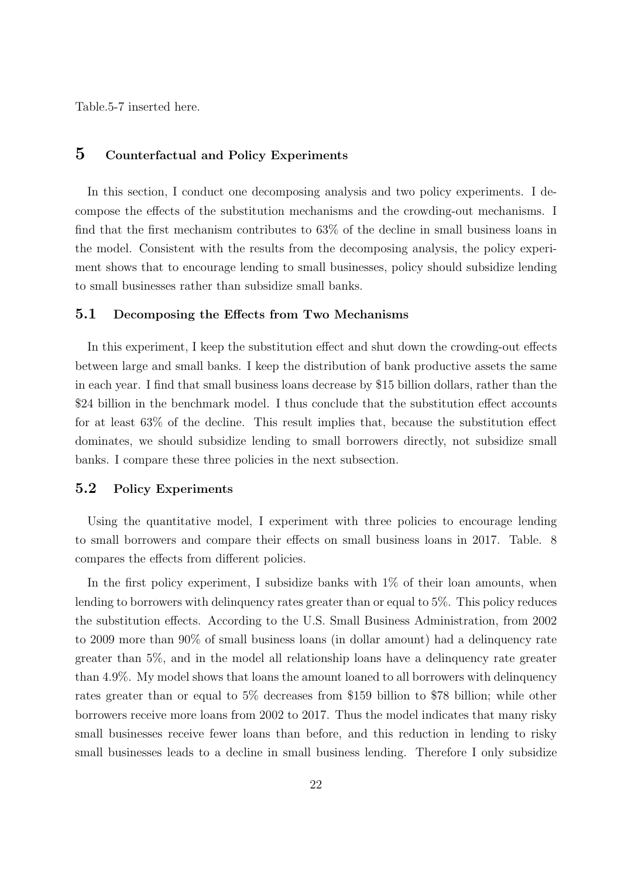Table.5-7 inserted here.

# 5 Counterfactual and Policy Experiments

In this section, I conduct one decomposing analysis and two policy experiments. I decompose the effects of the substitution mechanisms and the crowding-out mechanisms. I find that the first mechanism contributes to 63% of the decline in small business loans in the model. Consistent with the results from the decomposing analysis, the policy experiment shows that to encourage lending to small businesses, policy should subsidize lending to small businesses rather than subsidize small banks.

## 5.1 Decomposing the Effects from Two Mechanisms

In this experiment, I keep the substitution effect and shut down the crowding-out effects between large and small banks. I keep the distribution of bank productive assets the same in each year. I find that small business loans decrease by \$15 billion dollars, rather than the \$24 billion in the benchmark model. I thus conclude that the substitution effect accounts for at least 63% of the decline. This result implies that, because the substitution effect dominates, we should subsidize lending to small borrowers directly, not subsidize small banks. I compare these three policies in the next subsection.

#### 5.2 Policy Experiments

Using the quantitative model, I experiment with three policies to encourage lending to small borrowers and compare their effects on small business loans in 2017. Table. 8 compares the effects from different policies.

In the first policy experiment, I subsidize banks with  $1\%$  of their loan amounts, when lending to borrowers with delinquency rates greater than or equal to 5%. This policy reduces the substitution effects. According to the U.S. Small Business Administration, from 2002 to 2009 more than 90% of small business loans (in dollar amount) had a delinquency rate greater than 5%, and in the model all relationship loans have a delinquency rate greater than 4.9%. My model shows that loans the amount loaned to all borrowers with delinquency rates greater than or equal to 5% decreases from \$159 billion to \$78 billion; while other borrowers receive more loans from 2002 to 2017. Thus the model indicates that many risky small businesses receive fewer loans than before, and this reduction in lending to risky small businesses leads to a decline in small business lending. Therefore I only subsidize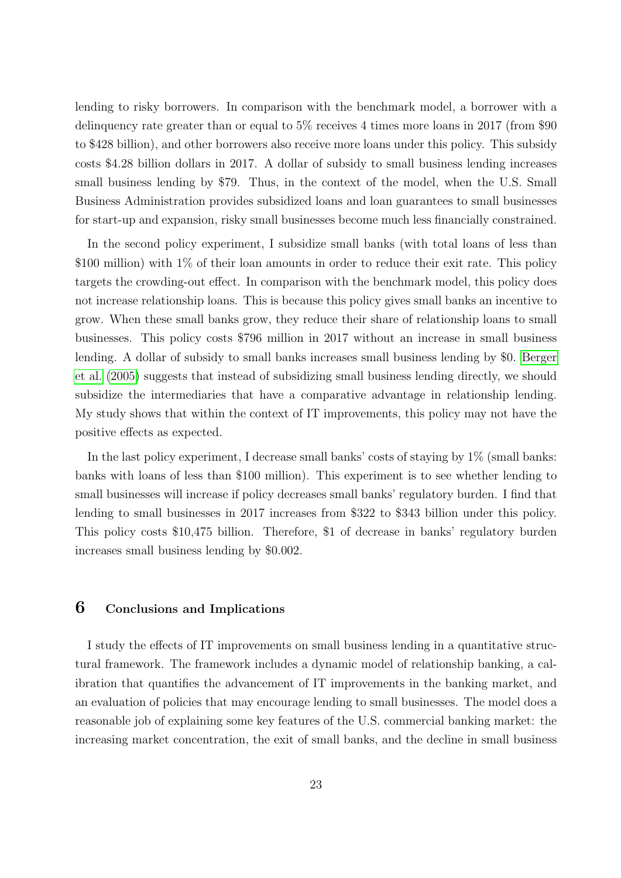lending to risky borrowers. In comparison with the benchmark model, a borrower with a delinquency rate greater than or equal to 5% receives 4 times more loans in 2017 (from \$90 to \$428 billion), and other borrowers also receive more loans under this policy. This subsidy costs \$4.28 billion dollars in 2017. A dollar of subsidy to small business lending increases small business lending by \$79. Thus, in the context of the model, when the U.S. Small Business Administration provides subsidized loans and loan guarantees to small businesses for start-up and expansion, risky small businesses become much less financially constrained.

In the second policy experiment, I subsidize small banks (with total loans of less than \$100 million) with 1\% of their loan amounts in order to reduce their exit rate. This policy targets the crowding-out effect. In comparison with the benchmark model, this policy does not increase relationship loans. This is because this policy gives small banks an incentive to grow. When these small banks grow, they reduce their share of relationship loans to small businesses. This policy costs \$796 million in 2017 without an increase in small business lending. A dollar of subsidy to small banks increases small business lending by \$0. [Berger](#page-25-1) [et al.](#page-25-1) [\(2005\)](#page-25-1) suggests that instead of subsidizing small business lending directly, we should subsidize the intermediaries that have a comparative advantage in relationship lending. My study shows that within the context of IT improvements, this policy may not have the positive effects as expected.

In the last policy experiment, I decrease small banks' costs of staying by 1% (small banks: banks with loans of less than \$100 million). This experiment is to see whether lending to small businesses will increase if policy decreases small banks' regulatory burden. I find that lending to small businesses in 2017 increases from \$322 to \$343 billion under this policy. This policy costs \$10,475 billion. Therefore, \$1 of decrease in banks' regulatory burden increases small business lending by \$0.002.

## 6 Conclusions and Implications

I study the effects of IT improvements on small business lending in a quantitative structural framework. The framework includes a dynamic model of relationship banking, a calibration that quantifies the advancement of IT improvements in the banking market, and an evaluation of policies that may encourage lending to small businesses. The model does a reasonable job of explaining some key features of the U.S. commercial banking market: the increasing market concentration, the exit of small banks, and the decline in small business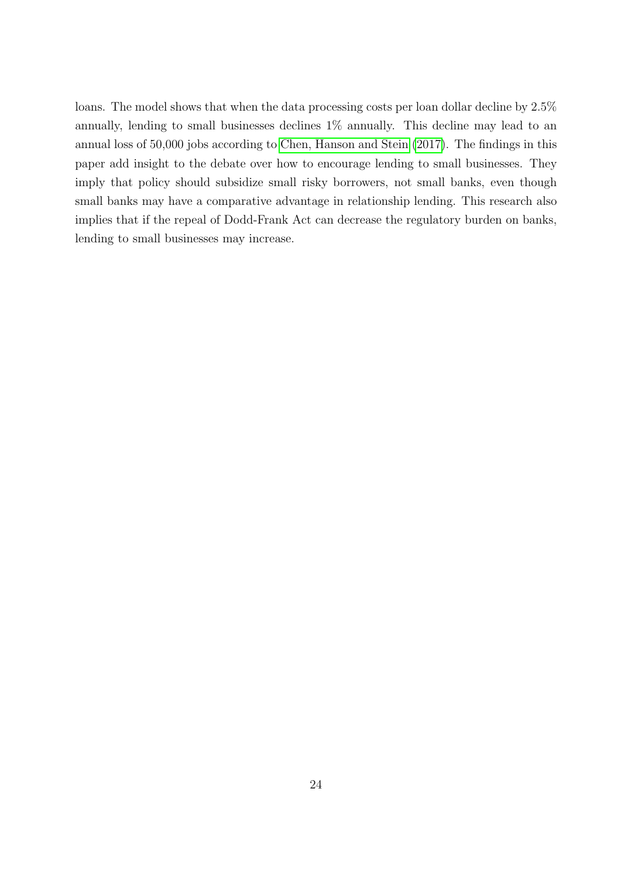loans. The model shows that when the data processing costs per loan dollar decline by 2.5% annually, lending to small businesses declines 1% annually. This decline may lead to an annual loss of 50,000 jobs according to [Chen, Hanson and Stein](#page-27-3) [\(2017\)](#page-27-3). The findings in this paper add insight to the debate over how to encourage lending to small businesses. They imply that policy should subsidize small risky borrowers, not small banks, even though small banks may have a comparative advantage in relationship lending. This research also implies that if the repeal of Dodd-Frank Act can decrease the regulatory burden on banks, lending to small businesses may increase.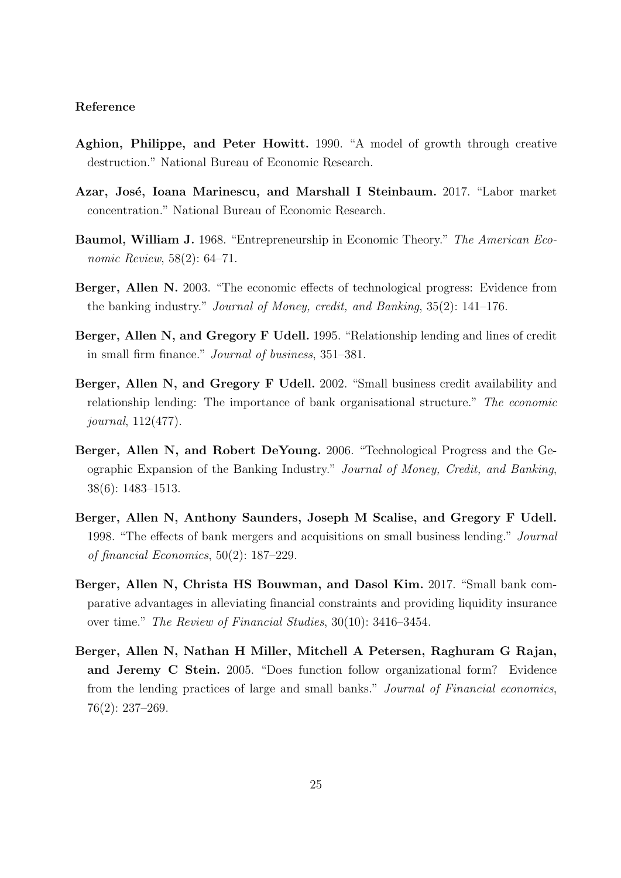#### Reference

- Aghion, Philippe, and Peter Howitt. 1990. "A model of growth through creative destruction." National Bureau of Economic Research.
- <span id="page-25-0"></span>Azar, José, Ioana Marinescu, and Marshall I Steinbaum. 2017. "Labor market concentration." National Bureau of Economic Research.
- Baumol, William J. 1968. "Entrepreneurship in Economic Theory." The American Economic Review, 58(2): 64–71.
- <span id="page-25-2"></span>Berger, Allen N. 2003. "The economic effects of technological progress: Evidence from the banking industry." Journal of Money, credit, and Banking, 35(2): 141–176.
- <span id="page-25-6"></span>Berger, Allen N, and Gregory F Udell. 1995. "Relationship lending and lines of credit in small firm finance." Journal of business, 351–381.
- <span id="page-25-3"></span>Berger, Allen N, and Gregory F Udell. 2002. "Small business credit availability and relationship lending: The importance of bank organisational structure." The economic journal, 112(477).
- Berger, Allen N, and Robert DeYoung. 2006. "Technological Progress and the Geographic Expansion of the Banking Industry." Journal of Money, Credit, and Banking, 38(6): 1483–1513.
- <span id="page-25-4"></span>Berger, Allen N, Anthony Saunders, Joseph M Scalise, and Gregory F Udell. 1998. "The effects of bank mergers and acquisitions on small business lending." Journal of financial Economics, 50(2): 187–229.
- <span id="page-25-5"></span>Berger, Allen N, Christa HS Bouwman, and Dasol Kim. 2017. "Small bank comparative advantages in alleviating financial constraints and providing liquidity insurance over time." The Review of Financial Studies, 30(10): 3416–3454.
- <span id="page-25-1"></span>Berger, Allen N, Nathan H Miller, Mitchell A Petersen, Raghuram G Rajan, and Jeremy C Stein. 2005. "Does function follow organizational form? Evidence from the lending practices of large and small banks." Journal of Financial economics, 76(2): 237–269.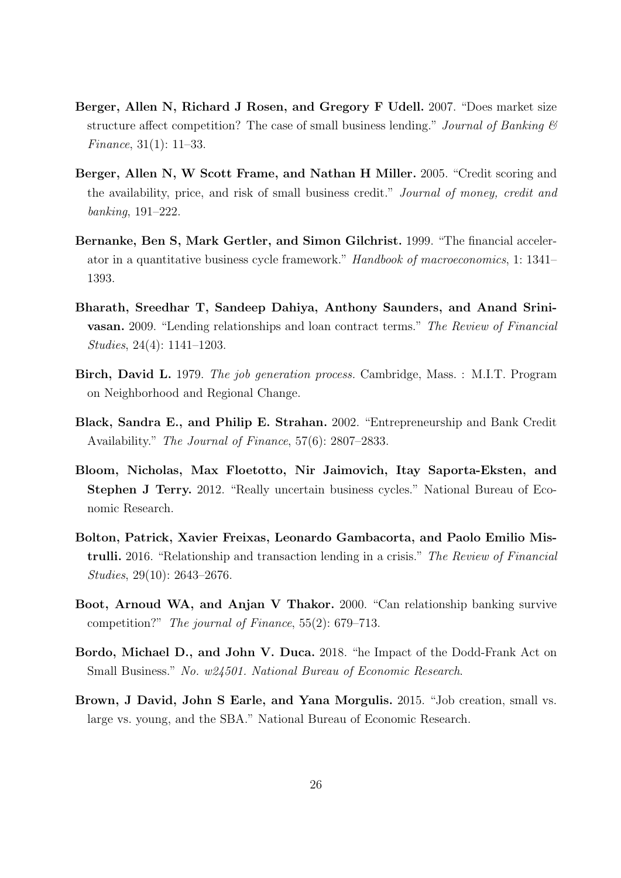- Berger, Allen N, Richard J Rosen, and Gregory F Udell. 2007. "Does market size structure affect competition? The case of small business lending." Journal of Banking  $\mathcal B$ Finance, 31(1): 11–33.
- Berger, Allen N, W Scott Frame, and Nathan H Miller. 2005. "Credit scoring and the availability, price, and risk of small business credit." Journal of money, credit and banking, 191–222.
- Bernanke, Ben S, Mark Gertler, and Simon Gilchrist. 1999. "The financial accelerator in a quantitative business cycle framework." Handbook of macroeconomics, 1: 1341– 1393.
- Bharath, Sreedhar T, Sandeep Dahiya, Anthony Saunders, and Anand Srinivasan. 2009. "Lending relationships and loan contract terms." The Review of Financial Studies, 24(4): 1141–1203.
- Birch, David L. 1979. The job generation process. Cambridge, Mass. : M.I.T. Program on Neighborhood and Regional Change.
- Black, Sandra E., and Philip E. Strahan. 2002. "Entrepreneurship and Bank Credit Availability." *The Journal of Finance*, 57(6): 2807–2833.
- Bloom, Nicholas, Max Floetotto, Nir Jaimovich, Itay Saporta-Eksten, and Stephen J Terry. 2012. "Really uncertain business cycles." National Bureau of Economic Research.
- <span id="page-26-0"></span>Bolton, Patrick, Xavier Freixas, Leonardo Gambacorta, and Paolo Emilio Mistrulli. 2016. "Relationship and transaction lending in a crisis." The Review of Financial Studies, 29(10): 2643–2676.
- <span id="page-26-1"></span>Boot, Arnoud WA, and Anjan V Thakor. 2000. "Can relationship banking survive competition?" The journal of Finance, 55(2): 679–713.
- <span id="page-26-2"></span>Bordo, Michael D., and John V. Duca. 2018. "he Impact of the Dodd-Frank Act on Small Business." No. w24501. National Bureau of Economic Research.
- <span id="page-26-3"></span>Brown, J David, John S Earle, and Yana Morgulis. 2015. "Job creation, small vs. large vs. young, and the SBA." National Bureau of Economic Research.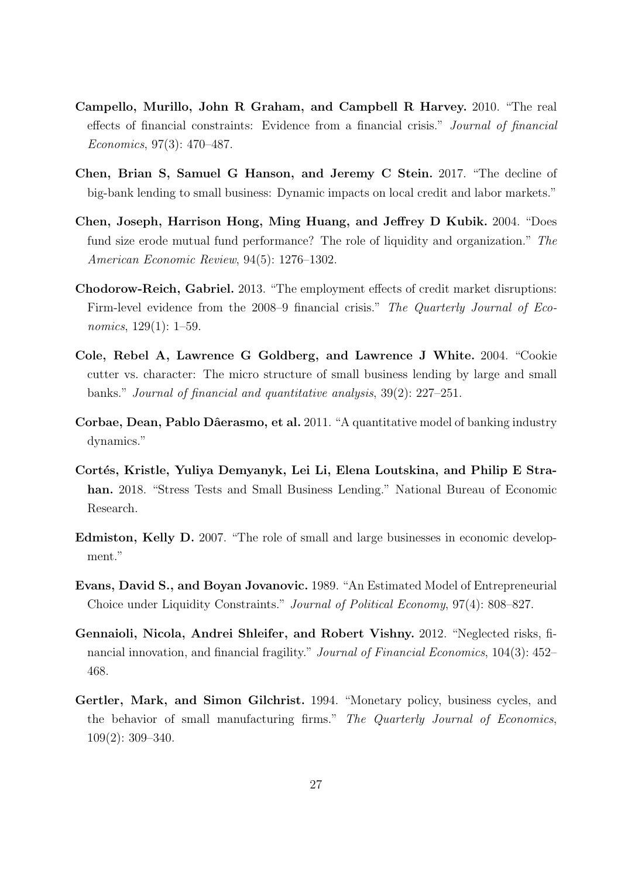- Campello, Murillo, John R Graham, and Campbell R Harvey. 2010. "The real effects of financial constraints: Evidence from a financial crisis." Journal of financial Economics, 97(3): 470–487.
- <span id="page-27-3"></span>Chen, Brian S, Samuel G Hanson, and Jeremy C Stein. 2017. "The decline of big-bank lending to small business: Dynamic impacts on local credit and labor markets."
- <span id="page-27-1"></span>Chen, Joseph, Harrison Hong, Ming Huang, and Jeffrey D Kubik. 2004. "Does fund size erode mutual fund performance? The role of liquidity and organization." The American Economic Review, 94(5): 1276–1302.
- <span id="page-27-0"></span>Chodorow-Reich, Gabriel. 2013. "The employment effects of credit market disruptions: Firm-level evidence from the 2008–9 financial crisis." The Quarterly Journal of Economics, 129(1): 1–59.
- Cole, Rebel A, Lawrence G Goldberg, and Lawrence J White. 2004. "Cookie cutter vs. character: The micro structure of small business lending by large and small banks." Journal of financial and quantitative analysis, 39(2): 227–251.
- Corbae, Dean, Pablo Dâerasmo, et al. 2011. "A quantitative model of banking industry dynamics."
- <span id="page-27-2"></span>Cortés, Kristle, Yuliya Demyanyk, Lei Li, Elena Loutskina, and Philip E Strahan. 2018. "Stress Tests and Small Business Lending." National Bureau of Economic Research.
- Edmiston, Kelly D. 2007. "The role of small and large businesses in economic development."
- Evans, David S., and Boyan Jovanovic. 1989. "An Estimated Model of Entrepreneurial Choice under Liquidity Constraints." Journal of Political Economy, 97(4): 808–827.
- Gennaioli, Nicola, Andrei Shleifer, and Robert Vishny. 2012. "Neglected risks, financial innovation, and financial fragility." Journal of Financial Economics, 104(3): 452– 468.
- Gertler, Mark, and Simon Gilchrist. 1994. "Monetary policy, business cycles, and the behavior of small manufacturing firms." The Quarterly Journal of Economics, 109(2): 309–340.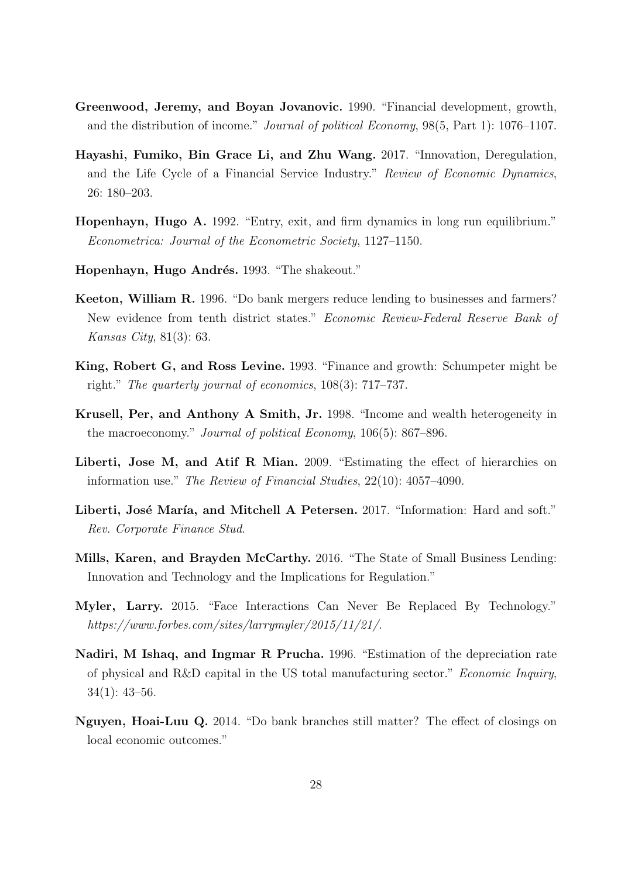- Greenwood, Jeremy, and Boyan Jovanovic. 1990. "Financial development, growth, and the distribution of income." Journal of political Economy, 98(5, Part 1): 1076–1107.
- <span id="page-28-0"></span>Hayashi, Fumiko, Bin Grace Li, and Zhu Wang. 2017. "Innovation, Deregulation, and the Life Cycle of a Financial Service Industry." Review of Economic Dynamics, 26: 180–203.
- <span id="page-28-3"></span>Hopenhayn, Hugo A. 1992. "Entry, exit, and firm dynamics in long run equilibrium." Econometrica: Journal of the Econometric Society, 1127–1150.
- Hopenhayn, Hugo Andrés. 1993. "The shakeout."
- Keeton, William R. 1996. "Do bank mergers reduce lending to businesses and farmers? New evidence from tenth district states." Economic Review-Federal Reserve Bank of Kansas City, 81(3): 63.
- King, Robert G, and Ross Levine. 1993. "Finance and growth: Schumpeter might be right." The quarterly journal of economics, 108(3): 717–737.
- Krusell, Per, and Anthony A Smith, Jr. 1998. "Income and wealth heterogeneity in the macroeconomy." Journal of political Economy, 106(5): 867–896.
- Liberti, Jose M, and Atif R Mian. 2009. "Estimating the effect of hierarchies on information use." The Review of Financial Studies, 22(10): 4057–4090.
- <span id="page-28-1"></span>Liberti, José María, and Mitchell A Petersen. 2017. "Information: Hard and soft." Rev. Corporate Finance Stud.
- <span id="page-28-2"></span>Mills, Karen, and Brayden McCarthy. 2016. "The State of Small Business Lending: Innovation and Technology and the Implications for Regulation."
- Myler, Larry. 2015. "Face Interactions Can Never Be Replaced By Technology." https://www.forbes.com/sites/larrymyler/2015/11/21/.
- Nadiri, M Ishaq, and Ingmar R Prucha. 1996. "Estimation of the depreciation rate of physical and R&D capital in the US total manufacturing sector." Economic Inquiry, 34(1): 43–56.
- Nguyen, Hoai-Luu Q. 2014. "Do bank branches still matter? The effect of closings on local economic outcomes."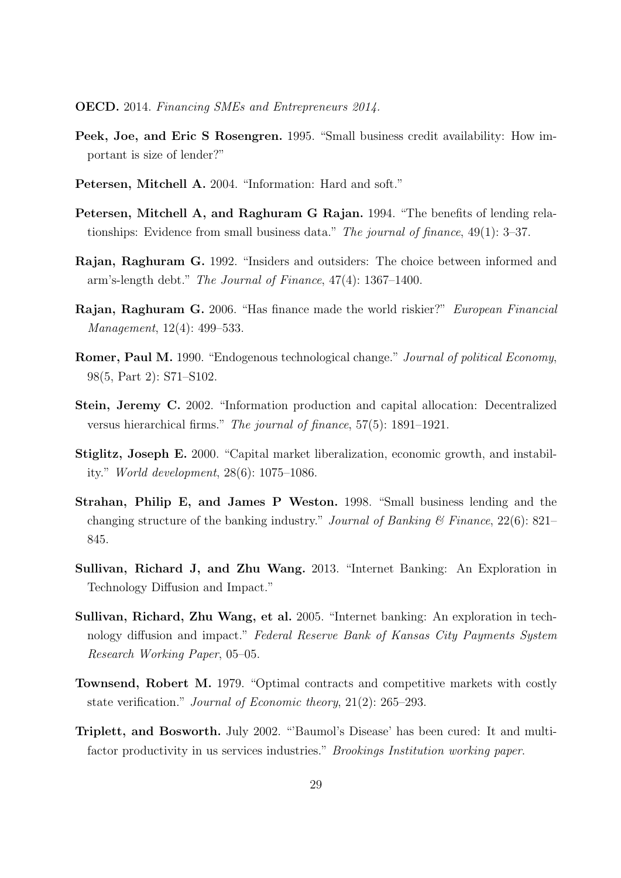- OECD. 2014. Financing SMEs and Entrepreneurs 2014.
- <span id="page-29-3"></span>Peek, Joe, and Eric S Rosengren. 1995. "Small business credit availability: How important is size of lender?"
- Petersen, Mitchell A. 2004. "Information: Hard and soft."
- Petersen, Mitchell A, and Raghuram G Rajan. 1994. "The benefits of lending relationships: Evidence from small business data." The journal of finance, 49(1): 3–37.
- <span id="page-29-4"></span>Rajan, Raghuram G. 1992. "Insiders and outsiders: The choice between informed and arm's-length debt." The Journal of Finance, 47(4): 1367–1400.
- Rajan, Raghuram G. 2006. "Has finance made the world riskier?" European Financial Management, 12(4): 499–533.
- Romer, Paul M. 1990. "Endogenous technological change." Journal of political Economy, 98(5, Part 2): S71–S102.
- <span id="page-29-0"></span>Stein, Jeremy C. 2002. "Information production and capital allocation: Decentralized versus hierarchical firms." The journal of finance, 57(5): 1891–1921.
- Stiglitz, Joseph E. 2000. "Capital market liberalization, economic growth, and instability." World development, 28(6): 1075–1086.
- <span id="page-29-2"></span>Strahan, Philip E, and James P Weston. 1998. "Small business lending and the changing structure of the banking industry." Journal of Banking  $\mathscr B$  Finance, 22(6): 821– 845.
- <span id="page-29-1"></span>Sullivan, Richard J, and Zhu Wang. 2013. "Internet Banking: An Exploration in Technology Diffusion and Impact."
- Sullivan, Richard, Zhu Wang, et al. 2005. "Internet banking: An exploration in technology diffusion and impact." Federal Reserve Bank of Kansas City Payments System Research Working Paper, 05–05.
- Townsend, Robert M. 1979. "Optimal contracts and competitive markets with costly state verification." Journal of Economic theory, 21(2): 265–293.
- Triplett, and Bosworth. July 2002. "'Baumol's Disease' has been cured: It and multifactor productivity in us services industries." Brookings Institution working paper.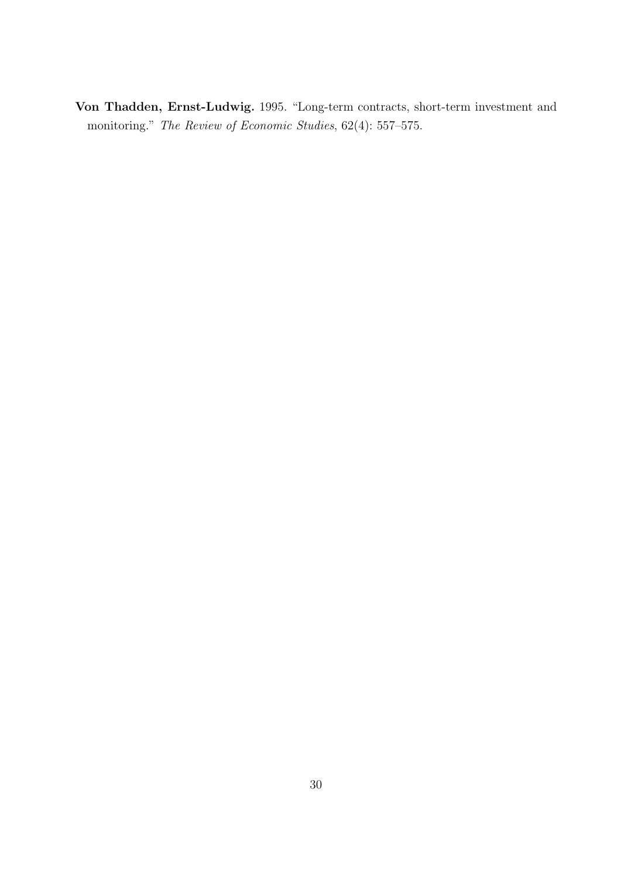<span id="page-30-0"></span>Von Thadden, Ernst-Ludwig. 1995. "Long-term contracts, short-term investment and monitoring." The Review of Economic Studies, 62(4): 557–575.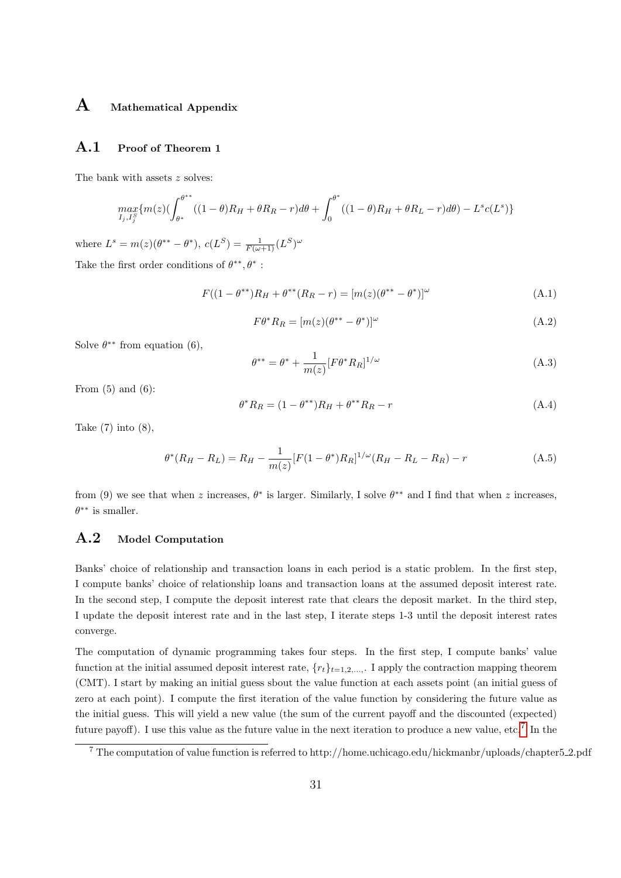# A Mathematical Appendix

#### A.1 Proof of Theorem 1

The bank with assets  $z$  solves:

$$
\max_{I_j, I_j^S} \{ m(z) \left( \int_{\theta^*}^{\theta^{**}} ((1 - \theta)R_H + \theta R_R - r) d\theta + \int_0^{\theta^*} ((1 - \theta)R_H + \theta R_L - r) d\theta \right) - L^s c(L^s) \}
$$

where  $L^{s} = m(z)(\theta^{**} - \theta^{*}), c(L^{S}) = \frac{1}{F(\omega+1)}(L^{S})^{\omega}$ 

Take the first order conditions of  $\theta^{**},\theta^*$  :

$$
F((1 - \theta^{**})R_H + \theta^{**}(R_R - r) = [m(z)(\theta^{**} - \theta^{*})]^{\omega}
$$
\n(A.1)

$$
F\theta^* R_R = [m(z)(\theta^{**} - \theta^*)]^\omega
$$
\n(A.2)

Solve  $\theta^{**}$  from equation (6),

$$
\theta^{**} = \theta^* + \frac{1}{m(z)} [F\theta^* R_R]^{1/\omega}
$$
\n(A.3)

From  $(5)$  and  $(6)$ :

$$
\theta^* R_R = (1 - \theta^{**})R_H + \theta^{**} R_R - r \tag{A.4}
$$

Take  $(7)$  into  $(8)$ ,

$$
\theta^*(R_H - R_L) = R_H - \frac{1}{m(z)} [F(1 - \theta^*)R_R]^{1/\omega} (R_H - R_L - R_R) - r
$$
\n(A.5)

from (9) we see that when z increases,  $\theta^*$  is larger. Similarly, I solve  $\theta^{**}$  and I find that when z increases,  $\theta^{**}$  is smaller.

# A.2 Model Computation

Banks' choice of relationship and transaction loans in each period is a static problem. In the first step, I compute banks' choice of relationship loans and transaction loans at the assumed deposit interest rate. In the second step, I compute the deposit interest rate that clears the deposit market. In the third step, I update the deposit interest rate and in the last step, I iterate steps 1-3 until the deposit interest rates converge.

The computation of dynamic programming takes four steps. In the first step, I compute banks' value function at the initial assumed deposit interest rate,  $\{r_t\}_{t=1,2,\dots}$ . I apply the contraction mapping theorem (CMT). I start by making an initial guess sbout the value function at each assets point (an initial guess of zero at each point). I compute the first iteration of the value function by considering the future value as the initial guess. This will yield a new value (the sum of the current payoff and the discounted (expected) future payoff). I use this value as the future value in the next iteration to produce a new value, etc.<sup>[7](#page-31-0)</sup> In the

<span id="page-31-0"></span><sup>7</sup> The computation of value function is referred to http://home.uchicago.edu/hickmanbr/uploads/chapter5 2.pdf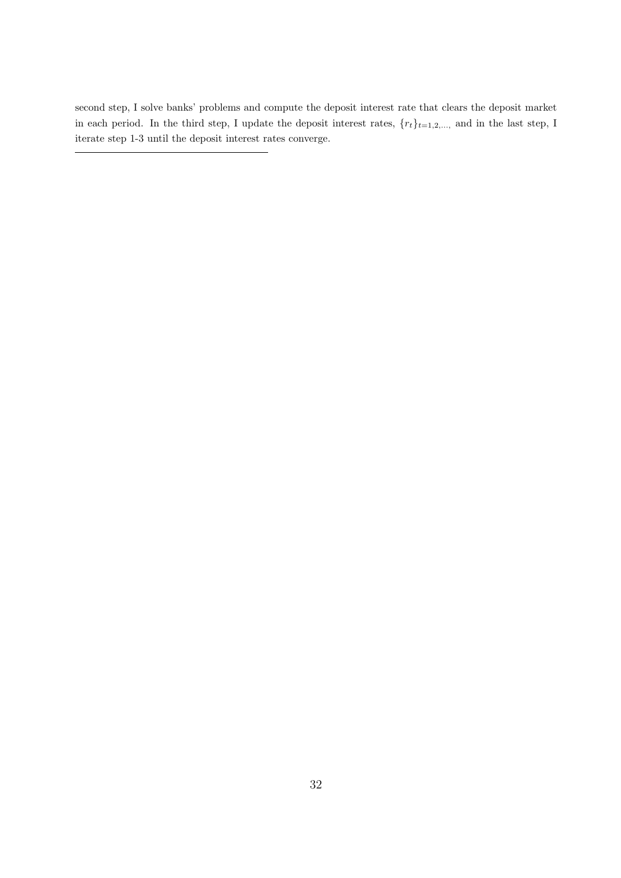second step, I solve banks' problems and compute the deposit interest rate that clears the deposit market in each period. In the third step, I update the deposit interest rates,  $\{r_t\}_{t=1,2,...}$  and in the last step, I iterate step 1-3 until the deposit interest rates converge.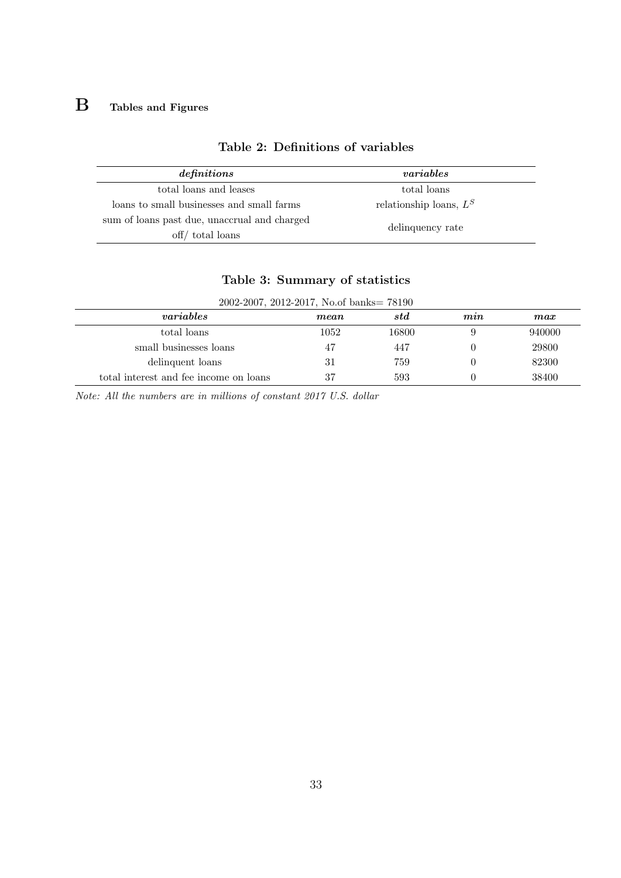# **B** Tables and Figures

| definitions                                  | variables                 |  |
|----------------------------------------------|---------------------------|--|
| total loans and leases                       | total loans               |  |
| loans to small businesses and small farms    | relationship loans, $L^S$ |  |
| sum of loans past due, unaccrual and charged | delinquency rate          |  |
| off/ total loans                             |                           |  |

# Table 2: Definitions of variables

|  |  | Table 3: Summary of statistics |
|--|--|--------------------------------|
|--|--|--------------------------------|

| 2002-2007, 2012-2017, No.of banks= 78190 |      |       |                                |        |
|------------------------------------------|------|-------|--------------------------------|--------|
| <i>variables</i>                         | mean | std   | $\boldsymbol{m}\boldsymbol{m}$ | max    |
| total loans                              | 1052 | 16800 |                                | 940000 |
| small businesses loans                   | 47   | 447   |                                | 29800  |
| delinquent loans                         | 31   | 759   |                                | 82300  |
| total interest and fee income on loans   | 37   | 593   |                                | 38400  |

Note: All the numbers are in millions of constant 2017 U.S. dollar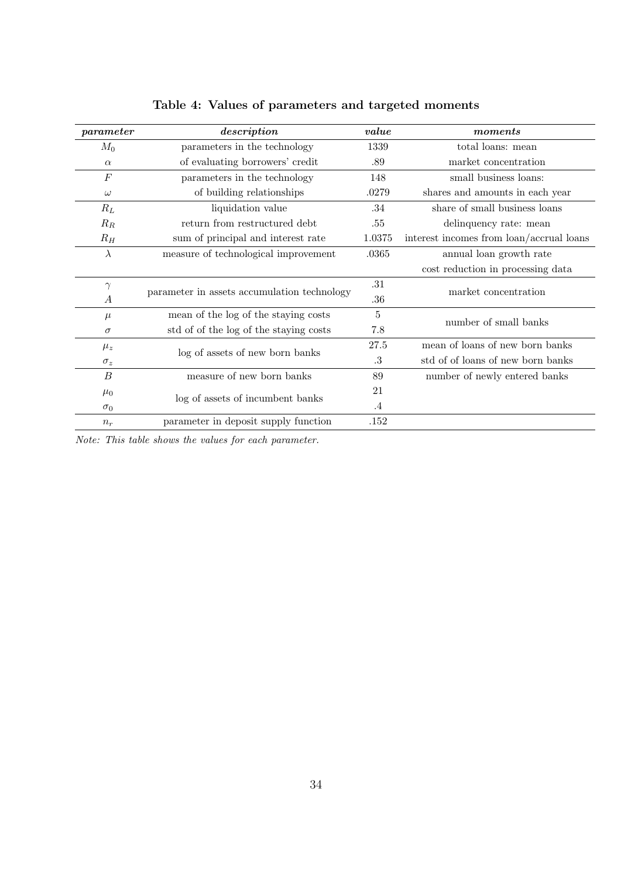| parameter        | description                                 | value     | moments                                                  |  |
|------------------|---------------------------------------------|-----------|----------------------------------------------------------|--|
| $M_0$            | parameters in the technology                | 1339      | total loans: mean                                        |  |
| $\alpha$         | of evaluating borrowers' credit             | .89       | market concentration                                     |  |
| F                | parameters in the technology                | 148       | small business loans:                                    |  |
| $\omega$         | of building relationships                   | .0279     | shares and amounts in each year                          |  |
| $R_L$            | liquidation value                           | .34       | share of small business loans                            |  |
| $R_R$            | return from restructured debt               | .55       | delinquency rate: mean                                   |  |
| $R_H$            | sum of principal and interest rate          | 1.0375    | interest incomes from $\text{loan}/\text{accrual}$ loans |  |
| $\lambda$        | measure of technological improvement        | .0365     | annual loan growth rate                                  |  |
|                  |                                             |           | cost reduction in processing data                        |  |
| $\gamma$         |                                             |           | market concentration                                     |  |
| A                | parameter in assets accumulation technology | $.36\,$   |                                                          |  |
| $\mu$            | mean of the log of the staying costs        | $\bf 5$   | number of small banks                                    |  |
| $\sigma$         | std of of the log of the staying costs      | 7.8       |                                                          |  |
| $\mu_z$          | log of assets of new born banks             | 27.5      | mean of loans of new born banks                          |  |
| $\sigma_z$       |                                             | .3        | std of of loans of new born banks                        |  |
| $\boldsymbol{B}$ | measure of new born banks                   | 89        | number of newly entered banks                            |  |
| $\mu_0$          | log of assets of incumbent banks            | 21        |                                                          |  |
| $\sigma_0$       |                                             | $\cdot$ 4 |                                                          |  |
| $n_r$            | parameter in deposit supply function        | .152      |                                                          |  |

Table 4: Values of parameters and targeted moments

Note: This table shows the values for each parameter.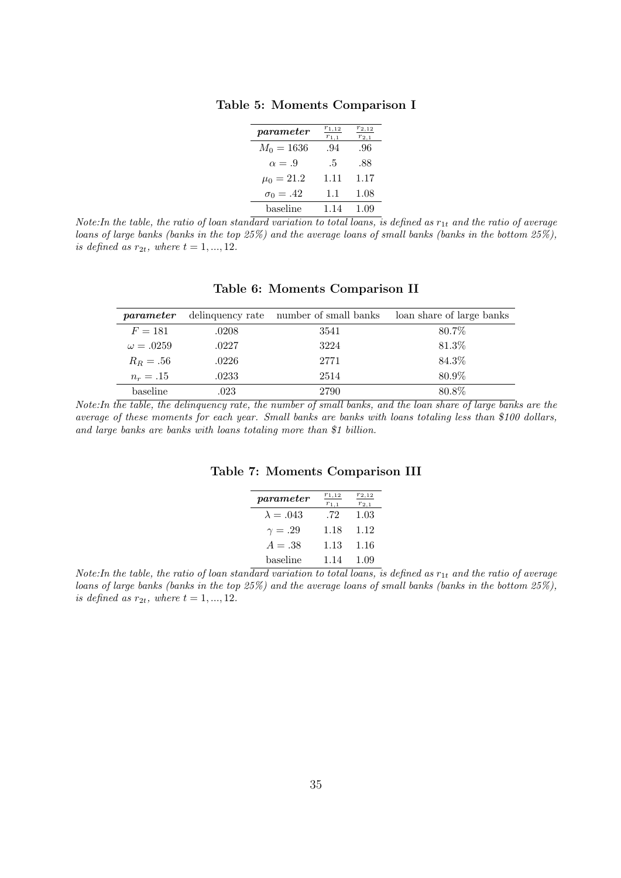Table 5: Moments Comparison I

| parameter            | $r_{1,12}$<br>$r_{1,1}$ | $r_{2,12}$<br>$r_{2,1}$ |
|----------------------|-------------------------|-------------------------|
| $M_0 = 1636$         | .94                     | .96                     |
| $\alpha = .9$        | .5                      | .88                     |
| $\mu_0 = 21.2$       | 1.11                    | 1.17                    |
| $\sigma_0 = .42$     | 1.1                     | 1.08                    |
| $_{\text{baseline}}$ | 1.14                    | 1.09                    |

Note: In the table, the ratio of loan standard variation to total loans, is defined as  $r_{1t}$  and the ratio of average loans of large banks (banks in the top 25%) and the average loans of small banks (banks in the bottom 25%), is defined as  $r_{2t}$ , where  $t = 1, ..., 12$ .

| parameter        |       | delinquency rate number of small banks | loan share of large banks |
|------------------|-------|----------------------------------------|---------------------------|
| $F = 181$        | .0208 | 3541                                   | 80.7\%                    |
| $\omega = .0259$ | .0227 | 3224                                   | 81.3%                     |
| $R_R = .56$      | .0226 | 2771                                   | 84.3%                     |
| $n_r = .15$      | .0233 | 2514                                   | 80.9%                     |
| baseline         | .023  | 2790                                   | 80.8%                     |

Table 6: Moments Comparison II

Note:In the table, the delinquency rate, the number of small banks, and the loan share of large banks are the average of these moments for each year. Small banks are banks with loans totaling less than \$100 dollars, and large banks are banks with loans totaling more than \$1 billion.

| parameter        | $r_{1,12}$<br>$r_{1,1}$ | 2,12<br>$r_{2,1}$ |
|------------------|-------------------------|-------------------|
| $\lambda = .043$ | .72                     | 1.03              |
| $\gamma = .29$   | 1.18                    | 1.12              |
| $A=.38$          | 1.13                    | 1.16              |
| baseline         | 1 14                    | 1.09              |

Table 7: Moments Comparison III

Note:In the table, the ratio of loan standard variation to total loans, is defined as  $r_{1t}$  and the ratio of average loans of large banks (banks in the top 25%) and the average loans of small banks (banks in the bottom 25%), is defined as  $r_{2t}$ , where  $t = 1, ..., 12$ .